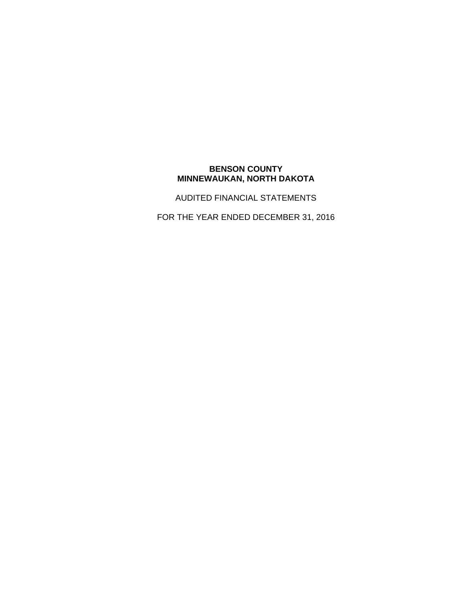# **BENSON COUNTY MINNEWAUKAN, NORTH DAKOTA**

AUDITED FINANCIAL STATEMENTS

FOR THE YEAR ENDED DECEMBER 31, 2016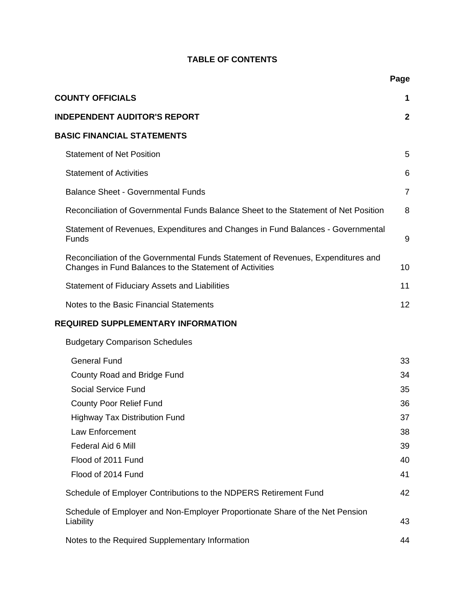# **TABLE OF CONTENTS**

|                                                                                                                                             | Page           |
|---------------------------------------------------------------------------------------------------------------------------------------------|----------------|
| <b>COUNTY OFFICIALS</b>                                                                                                                     | 1              |
| <b>INDEPENDENT AUDITOR'S REPORT</b>                                                                                                         | $\mathbf{2}$   |
| <b>BASIC FINANCIAL STATEMENTS</b>                                                                                                           |                |
| <b>Statement of Net Position</b>                                                                                                            | 5              |
| <b>Statement of Activities</b>                                                                                                              | 6              |
| <b>Balance Sheet - Governmental Funds</b>                                                                                                   | $\overline{7}$ |
| Reconciliation of Governmental Funds Balance Sheet to the Statement of Net Position                                                         | 8              |
| Statement of Revenues, Expenditures and Changes in Fund Balances - Governmental<br>Funds                                                    | 9              |
| Reconciliation of the Governmental Funds Statement of Revenues, Expenditures and<br>Changes in Fund Balances to the Statement of Activities | 10             |
| <b>Statement of Fiduciary Assets and Liabilities</b>                                                                                        | 11             |
| Notes to the Basic Financial Statements                                                                                                     | 12             |
| <b>REQUIRED SUPPLEMENTARY INFORMATION</b>                                                                                                   |                |
| <b>Budgetary Comparison Schedules</b>                                                                                                       |                |
| <b>General Fund</b>                                                                                                                         | 33             |
| County Road and Bridge Fund                                                                                                                 | 34             |
| <b>Social Service Fund</b>                                                                                                                  | 35             |
| <b>County Poor Relief Fund</b>                                                                                                              | 36             |
| <b>Highway Tax Distribution Fund</b>                                                                                                        | 37             |
| Law Enforcement                                                                                                                             | 38             |
| Federal Aid 6 Mill                                                                                                                          | 39             |
| Flood of 2011 Fund                                                                                                                          | 40             |
| Flood of 2014 Fund                                                                                                                          | 41             |
| Schedule of Employer Contributions to the NDPERS Retirement Fund                                                                            | 42             |
| Schedule of Employer and Non-Employer Proportionate Share of the Net Pension<br>Liability                                                   | 43             |
| Notes to the Required Supplementary Information                                                                                             | 44             |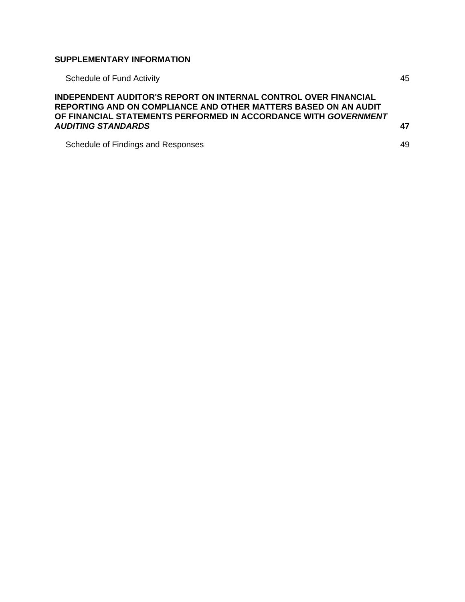# **SUPPLEMENTARY INFORMATION**

| <b>Schedule of Fund Activity</b>                                                                                                                                                                                            | 45  |
|-----------------------------------------------------------------------------------------------------------------------------------------------------------------------------------------------------------------------------|-----|
| INDEPENDENT AUDITOR'S REPORT ON INTERNAL CONTROL OVER FINANCIAL<br>REPORTING AND ON COMPLIANCE AND OTHER MATTERS BASED ON AN AUDIT<br>OF FINANCIAL STATEMENTS PERFORMED IN ACCORDANCE WITH GOVERNMENT<br>AUDITING STANDARDS | -47 |
| Schedule of Findings and Responses                                                                                                                                                                                          | 49  |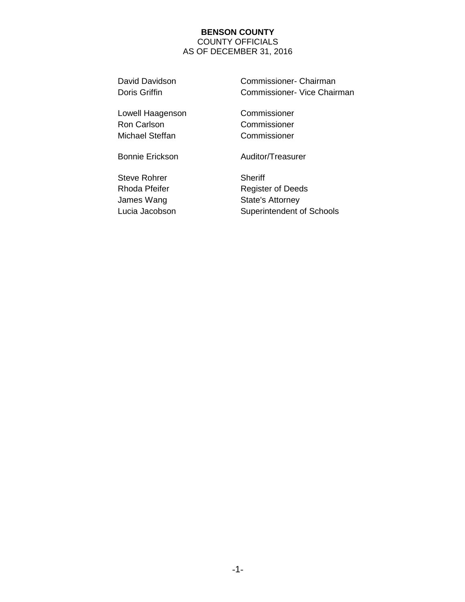### **BENSON COUNTY**  COUNTY OFFICIALS AS OF DECEMBER 31, 2016

David Davidson Commissioner- Chairman Doris Griffin **Commissioner- Vice Chairman** 

Lowell Haagenson Commissioner Ron Carlson Commissioner Michael Steffan Commissioner

Steve Rohrer Sheriff

Bonnie Erickson Auditor/Treasurer

Rhoda Pfeifer **Register of Deeds** James Wang State's Attorney Lucia Jacobson Superintendent of Schools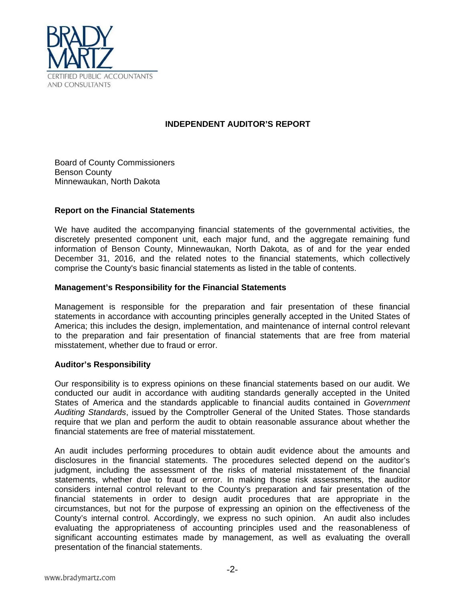

# **INDEPENDENT AUDITOR'S REPORT**

Board of County Commissioners Benson County Minnewaukan, North Dakota

## **Report on the Financial Statements**

We have audited the accompanying financial statements of the governmental activities, the discretely presented component unit, each major fund, and the aggregate remaining fund information of Benson County, Minnewaukan, North Dakota, as of and for the year ended December 31, 2016, and the related notes to the financial statements, which collectively comprise the County's basic financial statements as listed in the table of contents.

### **Management's Responsibility for the Financial Statements**

Management is responsible for the preparation and fair presentation of these financial statements in accordance with accounting principles generally accepted in the United States of America; this includes the design, implementation, and maintenance of internal control relevant to the preparation and fair presentation of financial statements that are free from material misstatement, whether due to fraud or error.

#### **Auditor's Responsibility**

Our responsibility is to express opinions on these financial statements based on our audit. We conducted our audit in accordance with auditing standards generally accepted in the United States of America and the standards applicable to financial audits contained in *Government Auditing Standards*, issued by the Comptroller General of the United States. Those standards require that we plan and perform the audit to obtain reasonable assurance about whether the financial statements are free of material misstatement.

An audit includes performing procedures to obtain audit evidence about the amounts and disclosures in the financial statements. The procedures selected depend on the auditor's judgment, including the assessment of the risks of material misstatement of the financial statements, whether due to fraud or error. In making those risk assessments, the auditor considers internal control relevant to the County's preparation and fair presentation of the financial statements in order to design audit procedures that are appropriate in the circumstances, but not for the purpose of expressing an opinion on the effectiveness of the County's internal control. Accordingly, we express no such opinion. An audit also includes evaluating the appropriateness of accounting principles used and the reasonableness of significant accounting estimates made by management, as well as evaluating the overall presentation of the financial statements.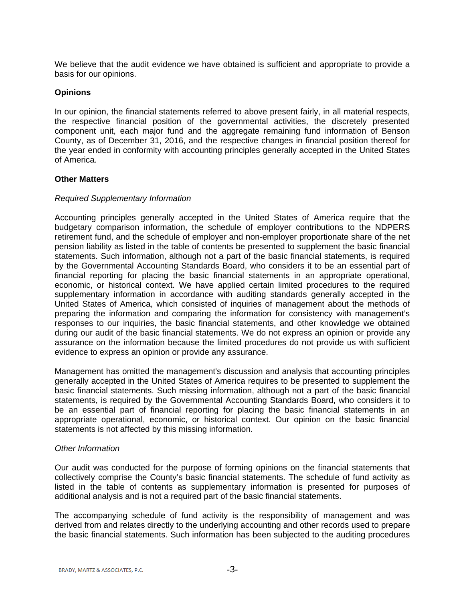We believe that the audit evidence we have obtained is sufficient and appropriate to provide a basis for our opinions.

#### **Opinions**

In our opinion, the financial statements referred to above present fairly, in all material respects, the respective financial position of the governmental activities, the discretely presented component unit, each major fund and the aggregate remaining fund information of Benson County, as of December 31, 2016, and the respective changes in financial position thereof for the year ended in conformity with accounting principles generally accepted in the United States of America.

### **Other Matters**

#### *Required Supplementary Information*

Accounting principles generally accepted in the United States of America require that the budgetary comparison information, the schedule of employer contributions to the NDPERS retirement fund, and the schedule of employer and non-employer proportionate share of the net pension liability as listed in the table of contents be presented to supplement the basic financial statements. Such information, although not a part of the basic financial statements, is required by the Governmental Accounting Standards Board, who considers it to be an essential part of financial reporting for placing the basic financial statements in an appropriate operational, economic, or historical context. We have applied certain limited procedures to the required supplementary information in accordance with auditing standards generally accepted in the United States of America, which consisted of inquiries of management about the methods of preparing the information and comparing the information for consistency with management's responses to our inquiries, the basic financial statements, and other knowledge we obtained during our audit of the basic financial statements. We do not express an opinion or provide any assurance on the information because the limited procedures do not provide us with sufficient evidence to express an opinion or provide any assurance.

Management has omitted the management's discussion and analysis that accounting principles generally accepted in the United States of America requires to be presented to supplement the basic financial statements. Such missing information, although not a part of the basic financial statements, is required by the Governmental Accounting Standards Board, who considers it to be an essential part of financial reporting for placing the basic financial statements in an appropriate operational, economic, or historical context. Our opinion on the basic financial statements is not affected by this missing information.

#### *Other Information*

Our audit was conducted for the purpose of forming opinions on the financial statements that collectively comprise the County's basic financial statements. The schedule of fund activity as listed in the table of contents as supplementary information is presented for purposes of additional analysis and is not a required part of the basic financial statements.

The accompanying schedule of fund activity is the responsibility of management and was derived from and relates directly to the underlying accounting and other records used to prepare the basic financial statements. Such information has been subjected to the auditing procedures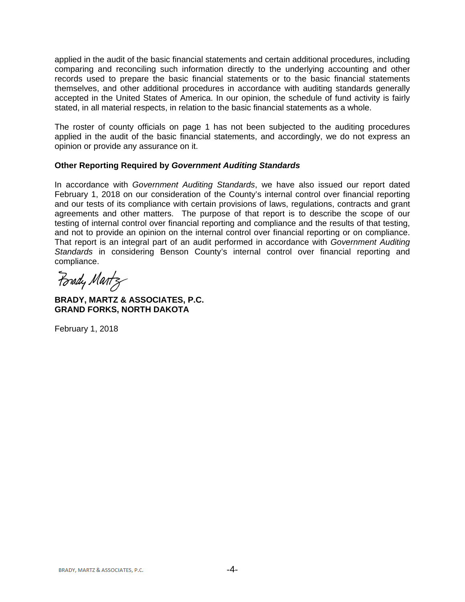applied in the audit of the basic financial statements and certain additional procedures, including comparing and reconciling such information directly to the underlying accounting and other records used to prepare the basic financial statements or to the basic financial statements themselves, and other additional procedures in accordance with auditing standards generally accepted in the United States of America. In our opinion, the schedule of fund activity is fairly stated, in all material respects, in relation to the basic financial statements as a whole.

The roster of county officials on page 1 has not been subjected to the auditing procedures applied in the audit of the basic financial statements, and accordingly, we do not express an opinion or provide any assurance on it.

## **Other Reporting Required by** *Government Auditing Standards*

In accordance with *Government Auditing Standards*, we have also issued our report dated February 1, 2018 on our consideration of the County's internal control over financial reporting and our tests of its compliance with certain provisions of laws, regulations, contracts and grant agreements and other matters. The purpose of that report is to describe the scope of our testing of internal control over financial reporting and compliance and the results of that testing, and not to provide an opinion on the internal control over financial reporting or on compliance. That report is an integral part of an audit performed in accordance with *Government Auditing Standards* in considering Benson County's internal control over financial reporting and compliance.

Forady Martz

**BRADY, MARTZ & ASSOCIATES, P.C. GRAND FORKS, NORTH DAKOTA**

February 1, 2018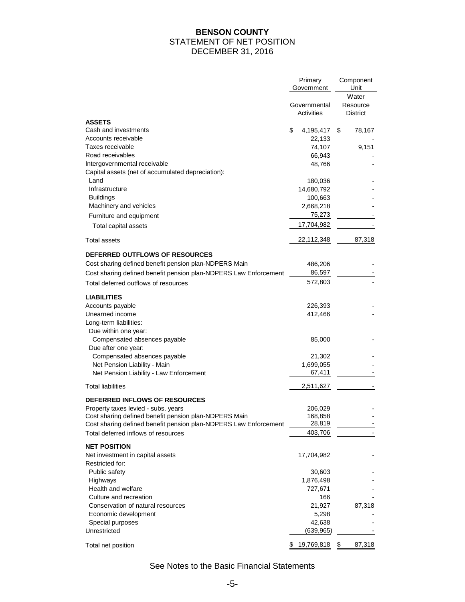## **BENSON COUNTY**  STATEMENT OF NET POSITION DECEMBER 31, 2016

|                                                                  | Primary<br>Government      | Component<br>Unit             |
|------------------------------------------------------------------|----------------------------|-------------------------------|
|                                                                  | Governmental<br>Activities | Water<br>Resource<br>District |
| <b>ASSETS</b><br>Cash and investments                            |                            |                               |
| Accounts receivable                                              | \$<br>4,195,417<br>22,133  | \$<br>78,167                  |
| Taxes receivable                                                 | 74,107                     | 9,151                         |
| Road receivables                                                 | 66,943                     |                               |
| Intergovernmental receivable                                     | 48,766                     |                               |
| Capital assets (net of accumulated depreciation):                |                            |                               |
| Land                                                             | 180,036                    |                               |
| Infrastructure                                                   | 14,680,792                 |                               |
| <b>Buildings</b>                                                 | 100,663                    |                               |
| Machinery and vehicles                                           | 2,668,218                  |                               |
| Furniture and equipment                                          | 75,273                     |                               |
| Total capital assets                                             | 17,704,982                 |                               |
|                                                                  |                            |                               |
| Total assets                                                     | 22,112,348                 | 87,318                        |
| <b>DEFERRED OUTFLOWS OF RESOURCES</b>                            |                            |                               |
| Cost sharing defined benefit pension plan-NDPERS Main            | 486,206                    |                               |
| Cost sharing defined benefit pension plan-NDPERS Law Enforcement | 86,597                     |                               |
| Total deferred outflows of resources                             | 572,803                    |                               |
|                                                                  |                            |                               |
| LIABILITIES                                                      |                            |                               |
| Accounts payable                                                 | 226,393                    |                               |
| Unearned income                                                  | 412,466                    |                               |
| Long-term liabilities:                                           |                            |                               |
| Due within one year:                                             |                            |                               |
| Compensated absences payable                                     | 85,000                     |                               |
| Due after one year:                                              |                            |                               |
| Compensated absences payable                                     | 21,302                     |                               |
| Net Pension Liability - Main                                     | 1,699,055                  |                               |
| Net Pension Liability - Law Enforcement                          | 67,411                     |                               |
| <b>Total liabilities</b>                                         | 2,511,627                  |                               |
| <b>DEFERRED INFLOWS OF RESOURCES</b>                             |                            |                               |
| Property taxes levied - subs. years                              | 206,029                    |                               |
| Cost sharing defined benefit pension plan-NDPERS Main            | 168,858                    |                               |
| Cost sharing defined benefit pension plan-NDPERS Law Enforcement | 28,819                     |                               |
| Total deferred inflows of resources                              | 403,706                    |                               |
| <b>NET POSITION</b>                                              |                            |                               |
| Net investment in capital assets<br>Restricted for:              | 17,704,982                 |                               |
| Public safety                                                    | 30,603                     |                               |
| Highways                                                         | 1,876,498                  |                               |
| Health and welfare                                               | 727,671                    |                               |
| Culture and recreation                                           | 166                        |                               |
| Conservation of natural resources                                | 21,927                     | 87,318                        |
| Economic development                                             | 5,298                      |                               |
| Special purposes                                                 | 42,638                     |                               |
| Unrestricted                                                     | (639, 965)                 |                               |
| Total net position                                               | 19,769,818 \$<br>S.        | 87,318                        |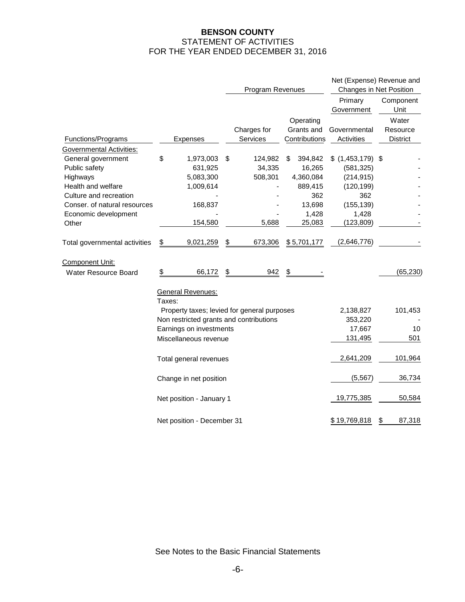## **BENSON COUNTY**  STATEMENT OF ACTIVITIES FOR THE YEAR ENDED DECEMBER 31, 2016

|                               |        |                                         | Program Revenues |                                             |        | Net (Expense) Revenue and<br>Changes in Net Position |                       |                   |                   |
|-------------------------------|--------|-----------------------------------------|------------------|---------------------------------------------|--------|------------------------------------------------------|-----------------------|-------------------|-------------------|
|                               |        |                                         |                  |                                             |        |                                                      | Primary<br>Government |                   | Component<br>Unit |
|                               |        |                                         |                  |                                             |        | Operating                                            |                       |                   | Water             |
|                               |        |                                         |                  | Charges for                                 |        | Grants and                                           | Governmental          |                   | Resource          |
| Functions/Programs            |        | Expenses                                |                  | Services                                    |        | Contributions                                        | Activities            |                   | <b>District</b>   |
| Governmental Activities:      |        |                                         |                  |                                             |        |                                                      |                       |                   |                   |
| General government            | \$     | 1,973,003                               | \$               | 124,982                                     | \$     | 394,842                                              | $$$ (1,453,179) \$    |                   |                   |
| Public safety                 |        | 631,925                                 |                  | 34,335                                      |        | 16,265                                               | (581, 325)            |                   |                   |
| Highways                      |        | 5,083,300                               |                  | 508,301                                     |        | 4,360,084                                            | (214, 915)            |                   |                   |
| Health and welfare            |        | 1,009,614                               |                  |                                             |        | 889,415                                              | (120, 199)            |                   |                   |
| Culture and recreation        |        |                                         |                  |                                             |        | 362                                                  | 362                   |                   |                   |
| Conser. of natural resources  |        | 168,837                                 |                  |                                             |        | 13,698                                               | (155, 139)            |                   |                   |
| Economic development          |        |                                         |                  |                                             |        | 1,428                                                | 1,428                 |                   |                   |
| Other                         |        | 154,580                                 |                  | 5,688                                       |        | 25,083                                               | (123,809)             |                   |                   |
| Total governmental activities | \$     | 9,021,259                               | \$               | 673,306                                     |        | \$5,701,177                                          | (2,646,776)           |                   |                   |
| Component Unit:               |        |                                         |                  |                                             |        |                                                      |                       |                   |                   |
| <b>Water Resource Board</b>   | \$     | 66,172                                  | \$               | 942                                         | \$     |                                                      |                       |                   | (65, 230)         |
|                               |        | <b>General Revenues:</b>                |                  |                                             |        |                                                      |                       |                   |                   |
|                               | Taxes: |                                         |                  |                                             |        |                                                      |                       |                   |                   |
|                               |        |                                         |                  | Property taxes; levied for general purposes |        |                                                      | 2,138,827             |                   | 101,453           |
|                               |        | Non restricted grants and contributions |                  |                                             |        |                                                      | 353,220               |                   |                   |
|                               |        | Earnings on investments                 |                  |                                             |        |                                                      | 17,667                |                   | 10                |
|                               |        | Miscellaneous revenue                   |                  |                                             |        |                                                      | 131,495               |                   | 501               |
|                               |        | Total general revenues                  |                  |                                             |        |                                                      | 2,641,209             |                   | 101,964           |
|                               |        | Change in net position                  |                  |                                             |        |                                                      | (5, 567)              |                   | 36,734            |
|                               |        | Net position - January 1                | 19,775,385       |                                             | 50,584 |                                                      |                       |                   |                   |
|                               |        | Net position - December 31              |                  |                                             |        |                                                      | \$19,769,818          | $\overline{\Phi}$ | 87,318            |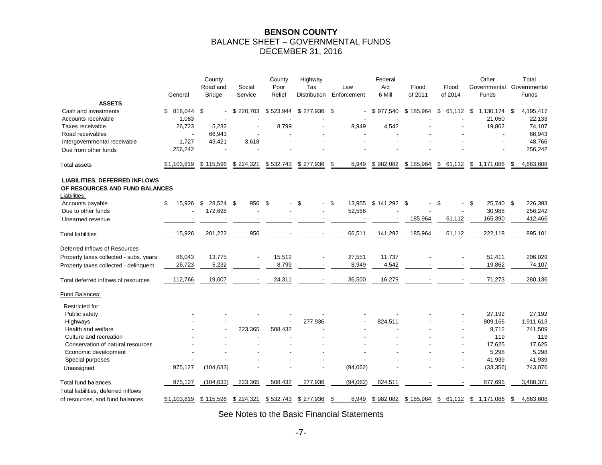#### **BENSON COUNTY**  BALANCE SHEET – GOVERNMENTAL FUNDS DECEMBER 31, 2016

|                                                                                        | General          | County<br>Road and<br><b>Bridge</b> | Social<br>Service | County<br>Poor<br>Relief | Highway<br>Tax<br>Distribution | Law<br>Enforcement | Federal<br>Aid<br>6 Mill | Flood<br>of 2011 | Flood<br>of 2014 | Other<br>Governmental<br>Funds | Total<br>Governmental<br>Funds |
|----------------------------------------------------------------------------------------|------------------|-------------------------------------|-------------------|--------------------------|--------------------------------|--------------------|--------------------------|------------------|------------------|--------------------------------|--------------------------------|
| <b>ASSETS</b>                                                                          |                  |                                     |                   |                          |                                |                    |                          |                  |                  |                                |                                |
| Cash and investments                                                                   | 818,044 \$<br>\$ |                                     | \$220,703         | \$523,944                | \$277,936                      | \$                 | \$977,540                | \$185,964        | \$<br>61,112     | 1,130,174<br>\$                | 4,195,417<br>\$                |
| Accounts receivable                                                                    | 1,083            |                                     |                   |                          |                                |                    |                          |                  |                  | 21,050                         | 22,133                         |
| Taxes receivable                                                                       | 26,723           | 5,232                               |                   | 8,799                    |                                | 8,949              | 4,542                    |                  |                  | 19,862                         | 74,107                         |
| Road receivables                                                                       |                  | 66,943                              |                   |                          |                                |                    |                          |                  |                  |                                | 66,943                         |
| Intergovernmental receivable                                                           | 1,727            | 43,421                              | 3,618             |                          |                                |                    |                          |                  |                  |                                | 48,766                         |
| Due from other funds                                                                   | 256,242          |                                     |                   |                          |                                |                    |                          |                  |                  |                                | 256,242                        |
| <b>Total assets</b>                                                                    | \$1,103,819      | \$115,596                           | \$224,321         | \$532,743                | \$277,936                      | \$<br>8,949        | \$982,082                | \$185,964        | \$<br>61,112     | \$<br>1,171,086                | 4,663,608<br>\$                |
| <b>LIABILITIES, DEFERRED INFLOWS</b><br>OF RESOURCES AND FUND BALANCES<br>Liabilities: |                  |                                     |                   |                          |                                |                    |                          |                  |                  |                                |                                |
| Accounts payable                                                                       | \$<br>15,926     | \$<br>28,524 \$                     | 956               | \$                       | \$                             | \$                 | 13,955 \$ 141,292 \$     |                  | \$               | -\$<br>25,740 \$               | 226,393                        |
| Due to other funds                                                                     |                  | 172,698                             |                   |                          |                                | 52,556             |                          |                  |                  | 30,988                         | 256,242                        |
| Unearned revenue                                                                       |                  |                                     |                   |                          |                                |                    |                          | 185,964          | 61,112           | 165,390                        | 412,466                        |
| <b>Total liabilities</b>                                                               | 15,926           | 201,222                             | 956               |                          |                                | 66,511             | 141,292                  | 185,964          | 61,112           | 222,118                        | 895,101                        |
| Deferred Inflows of Resources                                                          |                  |                                     |                   |                          |                                |                    |                          |                  |                  |                                |                                |
| Property taxes collected - subs. years                                                 | 86,043           | 13,775                              |                   | 15,512                   |                                | 27,551             | 11,737                   |                  |                  | 51,411                         | 206,029                        |
| Property taxes collected - delinquent                                                  | 26,723           | 5,232                               |                   | 8,799                    |                                | 8,949              | 4,542                    |                  |                  | 19,862                         | 74,107                         |
|                                                                                        |                  |                                     |                   |                          |                                |                    |                          |                  |                  |                                |                                |
| Total deferred inflows of resources                                                    | 112,766          | 19,007                              |                   | 24,311                   |                                | 36,500             | 16,279                   |                  |                  | 71,273                         | 280,136                        |
| Fund Balances:                                                                         |                  |                                     |                   |                          |                                |                    |                          |                  |                  |                                |                                |
| Restricted for:                                                                        |                  |                                     |                   |                          |                                |                    |                          |                  |                  |                                |                                |
| Public safety                                                                          |                  |                                     |                   |                          |                                |                    |                          |                  |                  | 27,192                         | 27,192                         |
| Highways                                                                               |                  |                                     |                   |                          | 277,936                        |                    | 824,511                  |                  |                  | 809,166                        | 1,911,613                      |
| Health and welfare                                                                     |                  |                                     | 223,365           | 508,432                  |                                |                    |                          |                  |                  | 9,712                          | 741,509                        |
| Culture and recreation                                                                 |                  |                                     |                   |                          |                                |                    |                          |                  |                  | 119                            | 119                            |
| Conservation of natural resources                                                      |                  |                                     |                   |                          |                                |                    |                          |                  |                  | 17,625                         | 17,625                         |
| Economic development                                                                   |                  |                                     |                   |                          |                                |                    |                          |                  |                  | 5,298                          | 5,298                          |
| Special purposes                                                                       |                  |                                     |                   |                          |                                |                    |                          |                  |                  | 41,939                         | 41,939                         |
| Unassigned                                                                             | 975,127          | (104, 633)                          |                   |                          |                                | (94, 062)          |                          |                  |                  | (33, 356)                      | 743,076                        |
| <b>Total fund balances</b>                                                             | 975,127          | (104, 633)                          | 223,365           | 508,432                  | 277,936                        | (94, 062)          | 824,511                  |                  |                  | 877,695                        | 3,488,371                      |
| Total liabilities, deferred inflows                                                    |                  |                                     |                   |                          |                                |                    |                          |                  |                  |                                |                                |
| of resources, and fund balances                                                        | \$1,103,819      | \$115,596                           | \$224,321         | \$532,743                | \$277,936                      | 8,949<br>-\$       | \$982,082                | \$185,964        | \$<br>61,112     | \$<br>1,171,086                | 4,663,608<br>\$                |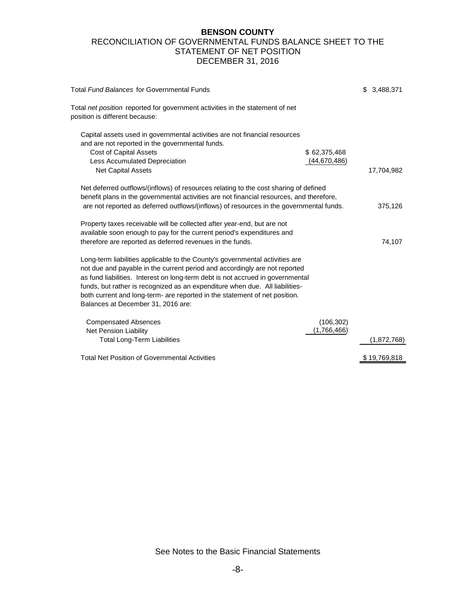### **BENSON COUNTY**  RECONCILIATION OF GOVERNMENTAL FUNDS BALANCE SHEET TO THE STATEMENT OF NET POSITION DECEMBER 31, 2016

| Total Fund Balances for Governmental Funds                                                                                                                                                                                                                                                                                                                                                                                                       | \$<br>3,488,371 |
|--------------------------------------------------------------------------------------------------------------------------------------------------------------------------------------------------------------------------------------------------------------------------------------------------------------------------------------------------------------------------------------------------------------------------------------------------|-----------------|
| Total net position reported for government activities in the statement of net<br>position is different because:                                                                                                                                                                                                                                                                                                                                  |                 |
| Capital assets used in governmental activities are not financial resources<br>and are not reported in the governmental funds.<br><b>Cost of Capital Assets</b><br>\$62,375,468<br>(44,670,486)<br>Less Accumulated Depreciation<br><b>Net Capital Assets</b>                                                                                                                                                                                     | 17,704,982      |
| Net deferred outflows/(inflows) of resources relating to the cost sharing of defined<br>benefit plans in the governmental activities are not financial resources, and therefore,<br>are not reported as deferred outflows/(inflows) of resources in the governmental funds.                                                                                                                                                                      | 375,126         |
| Property taxes receivable will be collected after year-end, but are not<br>available soon enough to pay for the current period's expenditures and<br>therefore are reported as deferred revenues in the funds.                                                                                                                                                                                                                                   | 74,107          |
| Long-term liabilities applicable to the County's governmental activities are<br>not due and payable in the current period and accordingly are not reported<br>as fund liabilities. Interest on long-term debt is not accrued in governmental<br>funds, but rather is recognized as an expenditure when due. All liabilities-<br>both current and long-term- are reported in the statement of net position.<br>Balances at December 31, 2016 are: |                 |
| <b>Compensated Absences</b><br>(106, 302)<br>(1,766,466)<br>Net Pension Liability<br><b>Total Long-Term Liabilities</b>                                                                                                                                                                                                                                                                                                                          | (1,872,768)     |
| <b>Total Net Position of Governmental Activities</b>                                                                                                                                                                                                                                                                                                                                                                                             | \$19,769,818    |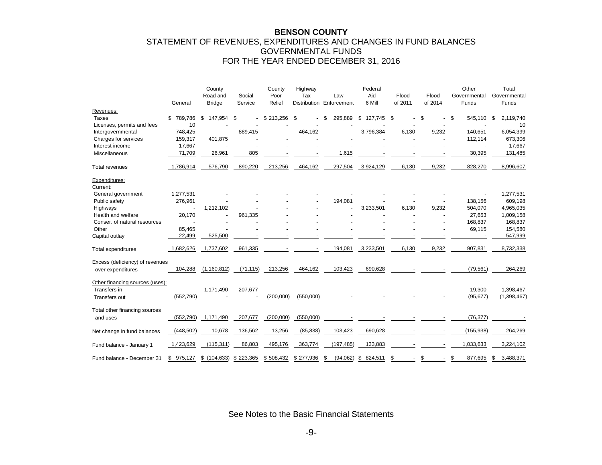#### **BENSON COUNTY**  STATEMENT OF REVENUES, EXPENDITURES AND CHANGES IN FUND BALANCES GOVERNMENTAL FUNDS FOR THE YEAR ENDED DECEMBER 31, 2016

|                                                 | General       | County<br>Road and<br><b>Bridge</b> | Social<br>Service | County<br>Poor<br>Relief | Highway<br>Tax<br>Distribution | Law<br>Enforcement | Federal<br>Aid<br>6 Mill | Flood<br>of 2011 | Flood<br>of 2014 | Other<br>Governmental<br>Funds | Total<br>Governmental<br>Funds |
|-------------------------------------------------|---------------|-------------------------------------|-------------------|--------------------------|--------------------------------|--------------------|--------------------------|------------------|------------------|--------------------------------|--------------------------------|
| Revenues:                                       |               |                                     |                   |                          |                                |                    |                          |                  |                  |                                |                                |
| <b>Taxes</b>                                    | 789,786<br>S. | 147,954<br>\$                       | \$                | \$213,256                | \$                             | 295,889<br>S       | \$<br>127,745            | S                | \$               | \$<br>545,110                  | 2,119,740<br>\$                |
| Licenses, permits and fees                      | 10            |                                     |                   |                          |                                |                    |                          |                  |                  |                                | 10                             |
| Intergovernmental                               | 748,425       |                                     | 889,415           |                          | 464,162                        |                    | 3,796,384                | 6,130            | 9,232            | 140,651                        | 6,054,399                      |
| Charges for services                            | 159,317       | 401,875                             |                   |                          |                                |                    |                          |                  |                  | 112,114                        | 673,306                        |
| Interest income                                 | 17,667        |                                     |                   |                          |                                |                    |                          |                  |                  |                                | 17,667                         |
| Miscellaneous                                   | 71,709        | 26,961                              | 805               |                          |                                | 1,615              |                          |                  |                  | 30,395                         | 131,485                        |
| Total revenues                                  | 1,786,914     | 576,790                             | 890,220           | 213,256                  | 464,162                        | 297,504            | 3,924,129                | 6,130            | 9,232            | 828,270                        | 8,996,607                      |
| Expenditures:<br>Current:                       |               |                                     |                   |                          |                                |                    |                          |                  |                  |                                |                                |
| General government                              | 1,277,531     |                                     |                   |                          |                                |                    |                          |                  |                  |                                | 1,277,531                      |
| Public safety                                   | 276,961       |                                     |                   |                          |                                | 194,081            |                          |                  |                  | 138,156                        | 609,198                        |
| Highways                                        |               | 1,212,102                           |                   |                          |                                |                    | 3,233,501                | 6,130            | 9,232            | 504.070                        | 4,965,035                      |
| Health and welfare                              | 20,170        |                                     | 961,335           |                          |                                |                    |                          |                  |                  | 27,653                         | 1,009,158                      |
| Conser. of natural resources                    |               |                                     |                   |                          |                                |                    |                          |                  |                  | 168,837                        | 168,837                        |
| Other                                           | 85,465        |                                     |                   |                          |                                |                    |                          |                  |                  | 69,115                         | 154,580                        |
| Capital outlay                                  | 22,499        | 525,500                             |                   |                          |                                |                    |                          |                  |                  |                                | 547,999                        |
| <b>Total expenditures</b>                       | 1,682,626     | 1,737,602                           | 961,335           |                          |                                | 194,081            | 3,233,501                | 6,130            | 9,232            | 907,831                        | 8,732,338                      |
| Excess (deficiency) of revenues                 |               |                                     |                   |                          |                                |                    |                          |                  |                  |                                |                                |
| over expenditures                               | 104,288       | (1, 160, 812)                       | (71, 115)         | 213,256                  | 464,162                        | 103,423            | 690,628                  |                  |                  | (79, 561)                      | 264,269                        |
| Other financing sources (uses):<br>Transfers in |               | 1,171,490                           | 207,677           |                          |                                |                    |                          |                  |                  | 19,300                         | 1,398,467                      |
| Transfers out                                   | (552, 790)    |                                     |                   | (200,000)                | (550,000)                      |                    |                          |                  |                  | (95, 677)                      | (1,398,467)                    |
| Total other financing sources<br>and uses       | (552, 790)    | 1,171,490                           | 207,677           | (200,000)                | (550,000)                      |                    |                          |                  |                  | (76, 377)                      |                                |
| Net change in fund balances                     | (448, 502)    | 10,678                              | 136,562           | 13,256                   | (85, 838)                      | 103,423            | 690,628                  |                  |                  | (155, 938)                     | 264,269                        |
| Fund balance - January 1                        | 1,423,629     | (115, 311)                          | 86,803            | 495,176                  | 363,774                        | (197, 485)         | 133,883                  |                  |                  | 1,033,633                      | 3,224,102                      |
| Fund balance - December 31                      | 975,127<br>S. | \$(104, 633)                        | \$223,365         | \$508,432                | \$277,936                      | (94.062)<br>- \$   | \$<br>824.511            | \$               | \$               | S<br>877.695                   | 3.488.371<br>S                 |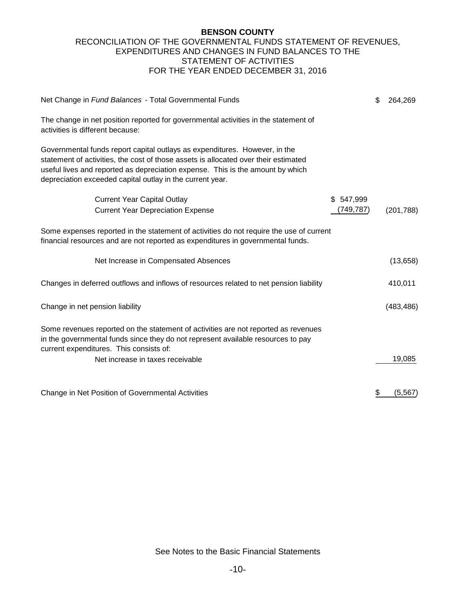#### **BENSON COUNTY**  RECONCILIATION OF THE GOVERNMENTAL FUNDS STATEMENT OF REVENUES, EXPENDITURES AND CHANGES IN FUND BALANCES TO THE STATEMENT OF ACTIVITIES FOR THE YEAR ENDED DECEMBER 31, 2016

| Net Change in Fund Balances - Total Governmental Funds                                                                                                                                                                                                                                                           |           | \$<br>264,269  |
|------------------------------------------------------------------------------------------------------------------------------------------------------------------------------------------------------------------------------------------------------------------------------------------------------------------|-----------|----------------|
| The change in net position reported for governmental activities in the statement of<br>activities is different because:                                                                                                                                                                                          |           |                |
| Governmental funds report capital outlays as expenditures. However, in the<br>statement of activities, the cost of those assets is allocated over their estimated<br>useful lives and reported as depreciation expense. This is the amount by which<br>depreciation exceeded capital outlay in the current year. |           |                |
| <b>Current Year Capital Outlay</b>                                                                                                                                                                                                                                                                               | \$547,999 |                |
| <b>Current Year Depreciation Expense</b>                                                                                                                                                                                                                                                                         | (749,787) | (201, 788)     |
| Some expenses reported in the statement of activities do not require the use of current<br>financial resources and are not reported as expenditures in governmental funds.                                                                                                                                       |           |                |
| Net Increase in Compensated Absences                                                                                                                                                                                                                                                                             |           | (13,658)       |
| Changes in deferred outflows and inflows of resources related to net pension liability                                                                                                                                                                                                                           |           | 410,011        |
| Change in net pension liability                                                                                                                                                                                                                                                                                  |           | (483, 486)     |
| Some revenues reported on the statement of activities are not reported as revenues<br>in the governmental funds since they do not represent available resources to pay<br>current expenditures. This consists of:                                                                                                |           |                |
| Net increase in taxes receivable                                                                                                                                                                                                                                                                                 |           | 19,085         |
|                                                                                                                                                                                                                                                                                                                  |           |                |
| Change in Net Position of Governmental Activities                                                                                                                                                                                                                                                                |           | \$<br>(5, 567) |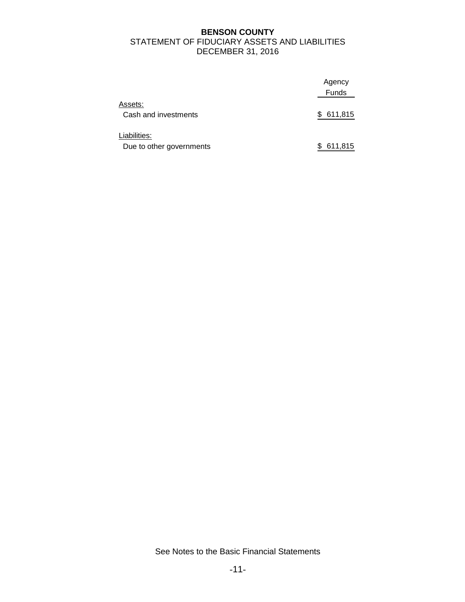## **BENSON COUNTY**  STATEMENT OF FIDUCIARY ASSETS AND LIABILITIES DECEMBER 31, 2016

|                                          | Agency       |
|------------------------------------------|--------------|
|                                          | <b>Funds</b> |
| Assets:<br>Cash and investments          | 611,815<br>S |
| Liabilities:<br>Due to other governments | 611,815      |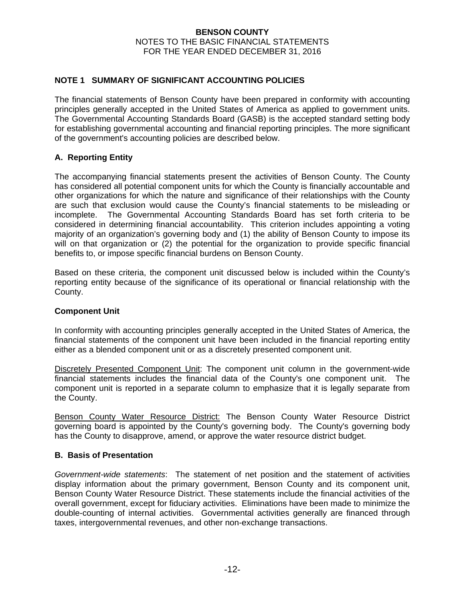## **NOTE 1 SUMMARY OF SIGNIFICANT ACCOUNTING POLICIES**

The financial statements of Benson County have been prepared in conformity with accounting principles generally accepted in the United States of America as applied to government units. The Governmental Accounting Standards Board (GASB) is the accepted standard setting body for establishing governmental accounting and financial reporting principles. The more significant of the government's accounting policies are described below.

## **A. Reporting Entity**

The accompanying financial statements present the activities of Benson County. The County has considered all potential component units for which the County is financially accountable and other organizations for which the nature and significance of their relationships with the County are such that exclusion would cause the County's financial statements to be misleading or incomplete. The Governmental Accounting Standards Board has set forth criteria to be considered in determining financial accountability. This criterion includes appointing a voting majority of an organization's governing body and (1) the ability of Benson County to impose its will on that organization or (2) the potential for the organization to provide specific financial benefits to, or impose specific financial burdens on Benson County.

Based on these criteria, the component unit discussed below is included within the County's reporting entity because of the significance of its operational or financial relationship with the County.

#### **Component Unit**

In conformity with accounting principles generally accepted in the United States of America, the financial statements of the component unit have been included in the financial reporting entity either as a blended component unit or as a discretely presented component unit.

Discretely Presented Component Unit: The component unit column in the government-wide financial statements includes the financial data of the County's one component unit. The component unit is reported in a separate column to emphasize that it is legally separate from the County.

Benson County Water Resource District: The Benson County Water Resource District governing board is appointed by the County's governing body. The County's governing body has the County to disapprove, amend, or approve the water resource district budget.

#### **B. Basis of Presentation**

*Government-wide statements*: The statement of net position and the statement of activities display information about the primary government, Benson County and its component unit, Benson County Water Resource District. These statements include the financial activities of the overall government, except for fiduciary activities. Eliminations have been made to minimize the double-counting of internal activities. Governmental activities generally are financed through taxes, intergovernmental revenues, and other non-exchange transactions.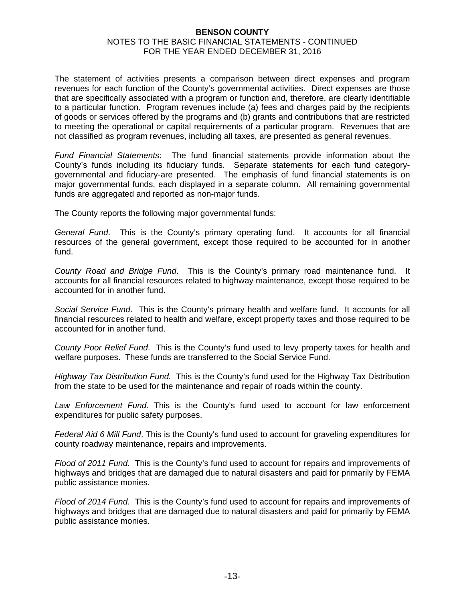The statement of activities presents a comparison between direct expenses and program revenues for each function of the County's governmental activities. Direct expenses are those that are specifically associated with a program or function and, therefore, are clearly identifiable to a particular function. Program revenues include (a) fees and charges paid by the recipients of goods or services offered by the programs and (b) grants and contributions that are restricted to meeting the operational or capital requirements of a particular program. Revenues that are not classified as program revenues, including all taxes, are presented as general revenues.

*Fund Financial Statements*: The fund financial statements provide information about the County's funds including its fiduciary funds. Separate statements for each fund categorygovernmental and fiduciary-are presented. The emphasis of fund financial statements is on major governmental funds, each displayed in a separate column. All remaining governmental funds are aggregated and reported as non-major funds.

The County reports the following major governmental funds:

*General Fund*. This is the County's primary operating fund. It accounts for all financial resources of the general government, except those required to be accounted for in another fund.

*County Road and Bridge Fund*. This is the County's primary road maintenance fund. It accounts for all financial resources related to highway maintenance, except those required to be accounted for in another fund.

*Social Service Fund*. This is the County's primary health and welfare fund. It accounts for all financial resources related to health and welfare, except property taxes and those required to be accounted for in another fund.

*County Poor Relief Fund*. This is the County's fund used to levy property taxes for health and welfare purposes. These funds are transferred to the Social Service Fund.

*Highway Tax Distribution Fund.* This is the County's fund used for the Highway Tax Distribution from the state to be used for the maintenance and repair of roads within the county.

*Law Enforcement Fund*. This is the County's fund used to account for law enforcement expenditures for public safety purposes.

*Federal Aid 6 Mill Fund*. This is the County's fund used to account for graveling expenditures for county roadway maintenance, repairs and improvements.

*Flood of 2011 Fund.* This is the County's fund used to account for repairs and improvements of highways and bridges that are damaged due to natural disasters and paid for primarily by FEMA public assistance monies.

*Flood of 2014 Fund.* This is the County's fund used to account for repairs and improvements of highways and bridges that are damaged due to natural disasters and paid for primarily by FEMA public assistance monies.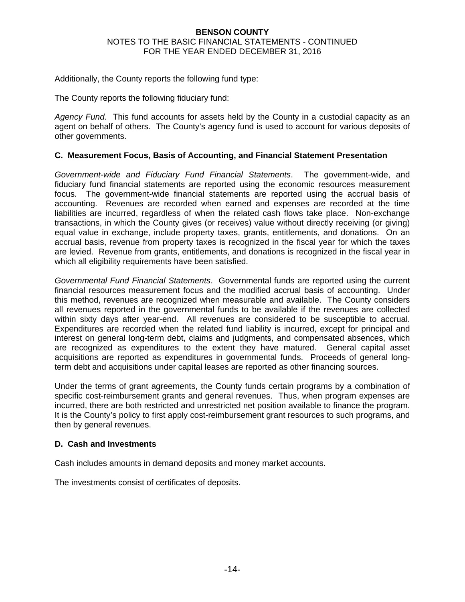Additionally, the County reports the following fund type:

The County reports the following fiduciary fund:

*Agency Fund*. This fund accounts for assets held by the County in a custodial capacity as an agent on behalf of others. The County's agency fund is used to account for various deposits of other governments.

### **C. Measurement Focus, Basis of Accounting, and Financial Statement Presentation**

*Government-wide and Fiduciary Fund Financial Statements*. The government-wide, and fiduciary fund financial statements are reported using the economic resources measurement focus. The government-wide financial statements are reported using the accrual basis of accounting. Revenues are recorded when earned and expenses are recorded at the time liabilities are incurred, regardless of when the related cash flows take place. Non-exchange transactions, in which the County gives (or receives) value without directly receiving (or giving) equal value in exchange, include property taxes, grants, entitlements, and donations. On an accrual basis, revenue from property taxes is recognized in the fiscal year for which the taxes are levied. Revenue from grants, entitlements, and donations is recognized in the fiscal year in which all eligibility requirements have been satisfied.

*Governmental Fund Financial Statements*. Governmental funds are reported using the current financial resources measurement focus and the modified accrual basis of accounting. Under this method, revenues are recognized when measurable and available. The County considers all revenues reported in the governmental funds to be available if the revenues are collected within sixty days after year-end. All revenues are considered to be susceptible to accrual. Expenditures are recorded when the related fund liability is incurred, except for principal and interest on general long-term debt, claims and judgments, and compensated absences, which are recognized as expenditures to the extent they have matured. General capital asset acquisitions are reported as expenditures in governmental funds. Proceeds of general longterm debt and acquisitions under capital leases are reported as other financing sources.

Under the terms of grant agreements, the County funds certain programs by a combination of specific cost-reimbursement grants and general revenues. Thus, when program expenses are incurred, there are both restricted and unrestricted net position available to finance the program. It is the County's policy to first apply cost-reimbursement grant resources to such programs, and then by general revenues.

## **D. Cash and Investments**

Cash includes amounts in demand deposits and money market accounts.

The investments consist of certificates of deposits.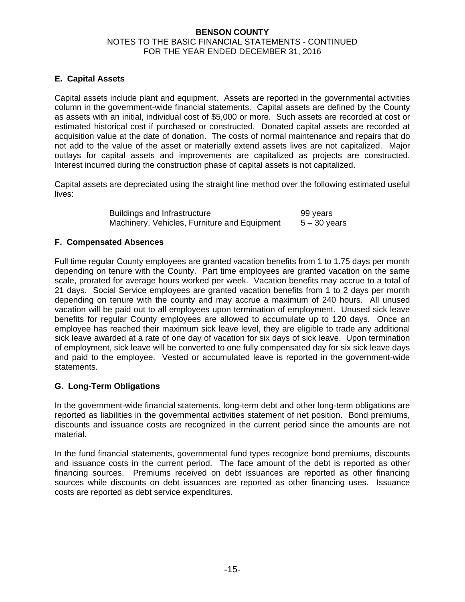## **E. Capital Assets**

Capital assets include plant and equipment. Assets are reported in the governmental activities column in the government-wide financial statements. Capital assets are defined by the County as assets with an initial, individual cost of \$5,000 or more. Such assets are recorded at cost or estimated historical cost if purchased or constructed. Donated capital assets are recorded at acquisition value at the date of donation. The costs of normal maintenance and repairs that do not add to the value of the asset or materially extend assets lives are not capitalized. Major outlays for capital assets and improvements are capitalized as projects are constructed. Interest incurred during the construction phase of capital assets is not capitalized.

Capital assets are depreciated using the straight line method over the following estimated useful lives:

> Buildings and Infrastructure **99 years** Machinery, Vehicles, Furniture and Equipment  $5 - 30$  years

## **F. Compensated Absences**

Full time regular County employees are granted vacation benefits from 1 to 1.75 days per month depending on tenure with the County. Part time employees are granted vacation on the same scale, prorated for average hours worked per week. Vacation benefits may accrue to a total of 21 days. Social Service employees are granted vacation benefits from 1 to 2 days per month depending on tenure with the county and may accrue a maximum of 240 hours. All unused vacation will be paid out to all employees upon termination of employment. Unused sick leave benefits for regular County employees are allowed to accumulate up to 120 days. Once an employee has reached their maximum sick leave level, they are eligible to trade any additional sick leave awarded at a rate of one day of vacation for six days of sick leave. Upon termination of employment, sick leave will be converted to one fully compensated day for six sick leave days and paid to the employee. Vested or accumulated leave is reported in the government-wide statements.

## **G. Long-Term Obligations**

In the government-wide financial statements, long-term debt and other long-term obligations are reported as liabilities in the governmental activities statement of net position. Bond premiums, discounts and issuance costs are recognized in the current period since the amounts are not material.

In the fund financial statements, governmental fund types recognize bond premiums, discounts and issuance costs in the current period. The face amount of the debt is reported as other financing sources. Premiums received on debt issuances are reported as other financing sources while discounts on debt issuances are reported as other financing uses. Issuance costs are reported as debt service expenditures.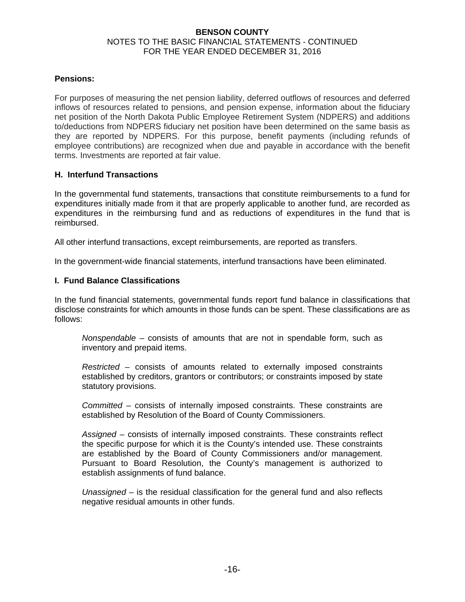#### **Pensions:**

For purposes of measuring the net pension liability, deferred outflows of resources and deferred inflows of resources related to pensions, and pension expense, information about the fiduciary net position of the North Dakota Public Employee Retirement System (NDPERS) and additions to/deductions from NDPERS fiduciary net position have been determined on the same basis as they are reported by NDPERS. For this purpose, benefit payments (including refunds of employee contributions) are recognized when due and payable in accordance with the benefit terms. Investments are reported at fair value.

### **H. Interfund Transactions**

In the governmental fund statements, transactions that constitute reimbursements to a fund for expenditures initially made from it that are properly applicable to another fund, are recorded as expenditures in the reimbursing fund and as reductions of expenditures in the fund that is reimbursed.

All other interfund transactions, except reimbursements, are reported as transfers.

In the government-wide financial statements, interfund transactions have been eliminated.

## **I. Fund Balance Classifications**

In the fund financial statements, governmental funds report fund balance in classifications that disclose constraints for which amounts in those funds can be spent. These classifications are as follows:

*Nonspendable* – consists of amounts that are not in spendable form, such as inventory and prepaid items.

*Restricted* – consists of amounts related to externally imposed constraints established by creditors, grantors or contributors; or constraints imposed by state statutory provisions.

*Committed* – consists of internally imposed constraints. These constraints are established by Resolution of the Board of County Commissioners.

*Assigned* – consists of internally imposed constraints. These constraints reflect the specific purpose for which it is the County's intended use. These constraints are established by the Board of County Commissioners and/or management. Pursuant to Board Resolution, the County's management is authorized to establish assignments of fund balance.

*Unassigned* – is the residual classification for the general fund and also reflects negative residual amounts in other funds.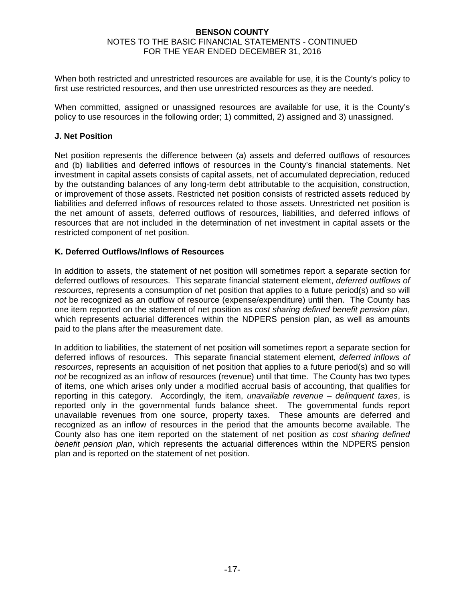When both restricted and unrestricted resources are available for use, it is the County's policy to first use restricted resources, and then use unrestricted resources as they are needed.

When committed, assigned or unassigned resources are available for use, it is the County's policy to use resources in the following order; 1) committed, 2) assigned and 3) unassigned.

### **J. Net Position**

Net position represents the difference between (a) assets and deferred outflows of resources and (b) liabilities and deferred inflows of resources in the County's financial statements. Net investment in capital assets consists of capital assets, net of accumulated depreciation, reduced by the outstanding balances of any long-term debt attributable to the acquisition, construction, or improvement of those assets. Restricted net position consists of restricted assets reduced by liabilities and deferred inflows of resources related to those assets. Unrestricted net position is the net amount of assets, deferred outflows of resources, liabilities, and deferred inflows of resources that are not included in the determination of net investment in capital assets or the restricted component of net position.

### **K. Deferred Outflows/Inflows of Resources**

In addition to assets, the statement of net position will sometimes report a separate section for deferred outflows of resources. This separate financial statement element, *deferred outflows of resources*, represents a consumption of net position that applies to a future period(s) and so will *not* be recognized as an outflow of resource (expense/expenditure) until then. The County has one item reported on the statement of net position as *cost sharing defined benefit pension plan*, which represents actuarial differences within the NDPERS pension plan, as well as amounts paid to the plans after the measurement date.

In addition to liabilities, the statement of net position will sometimes report a separate section for deferred inflows of resources. This separate financial statement element, *deferred inflows of resources*, represents an acquisition of net position that applies to a future period(s) and so will *not* be recognized as an inflow of resources (revenue) until that time. The County has two types of items, one which arises only under a modified accrual basis of accounting, that qualifies for reporting in this category. Accordingly, the item, *unavailable revenue – delinquent taxes*, is reported only in the governmental funds balance sheet. The governmental funds report unavailable revenues from one source, property taxes. These amounts are deferred and recognized as an inflow of resources in the period that the amounts become available. The County also has one item reported on the statement of net position *as cost sharing defined benefit pension plan*, which represents the actuarial differences within the NDPERS pension plan and is reported on the statement of net position.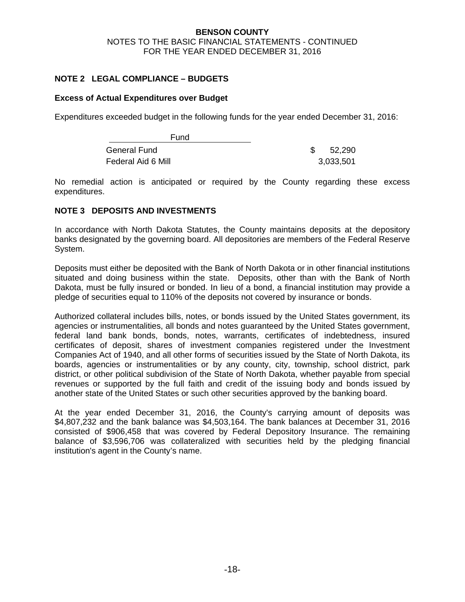## **NOTE 2 LEGAL COMPLIANCE – BUDGETS**

### **Excess of Actual Expenditures over Budget**

Expenditures exceeded budget in the following funds for the year ended December 31, 2016:

| Fund               |           |
|--------------------|-----------|
| General Fund       | 52,290    |
| Federal Aid 6 Mill | 3,033,501 |

No remedial action is anticipated or required by the County regarding these excess expenditures.

## **NOTE 3 DEPOSITS AND INVESTMENTS**

In accordance with North Dakota Statutes, the County maintains deposits at the depository banks designated by the governing board. All depositories are members of the Federal Reserve System.

Deposits must either be deposited with the Bank of North Dakota or in other financial institutions situated and doing business within the state. Deposits, other than with the Bank of North Dakota, must be fully insured or bonded. In lieu of a bond, a financial institution may provide a pledge of securities equal to 110% of the deposits not covered by insurance or bonds.

Authorized collateral includes bills, notes, or bonds issued by the United States government, its agencies or instrumentalities, all bonds and notes guaranteed by the United States government, federal land bank bonds, bonds, notes, warrants, certificates of indebtedness, insured certificates of deposit, shares of investment companies registered under the Investment Companies Act of 1940, and all other forms of securities issued by the State of North Dakota, its boards, agencies or instrumentalities or by any county, city, township, school district, park district, or other political subdivision of the State of North Dakota, whether payable from special revenues or supported by the full faith and credit of the issuing body and bonds issued by another state of the United States or such other securities approved by the banking board.

At the year ended December 31, 2016, the County's carrying amount of deposits was \$4,807,232 and the bank balance was \$4,503,164. The bank balances at December 31, 2016 consisted of \$906,458 that was covered by Federal Depository Insurance. The remaining balance of \$3,596,706 was collateralized with securities held by the pledging financial institution's agent in the County's name.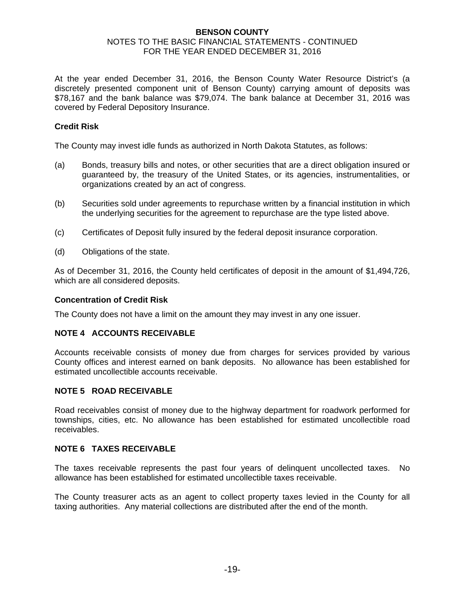At the year ended December 31, 2016, the Benson County Water Resource District's (a discretely presented component unit of Benson County) carrying amount of deposits was \$78,167 and the bank balance was \$79,074. The bank balance at December 31, 2016 was covered by Federal Depository Insurance.

## **Credit Risk**

The County may invest idle funds as authorized in North Dakota Statutes, as follows:

- (a) Bonds, treasury bills and notes, or other securities that are a direct obligation insured or guaranteed by, the treasury of the United States, or its agencies, instrumentalities, or organizations created by an act of congress.
- (b) Securities sold under agreements to repurchase written by a financial institution in which the underlying securities for the agreement to repurchase are the type listed above.
- (c) Certificates of Deposit fully insured by the federal deposit insurance corporation.
- (d) Obligations of the state.

As of December 31, 2016, the County held certificates of deposit in the amount of \$1,494,726, which are all considered deposits.

#### **Concentration of Credit Risk**

The County does not have a limit on the amount they may invest in any one issuer.

#### **NOTE 4 ACCOUNTS RECEIVABLE**

Accounts receivable consists of money due from charges for services provided by various County offices and interest earned on bank deposits. No allowance has been established for estimated uncollectible accounts receivable.

#### **NOTE 5 ROAD RECEIVABLE**

Road receivables consist of money due to the highway department for roadwork performed for townships, cities, etc. No allowance has been established for estimated uncollectible road receivables.

### **NOTE 6 TAXES RECEIVABLE**

The taxes receivable represents the past four years of delinquent uncollected taxes. No allowance has been established for estimated uncollectible taxes receivable.

The County treasurer acts as an agent to collect property taxes levied in the County for all taxing authorities. Any material collections are distributed after the end of the month.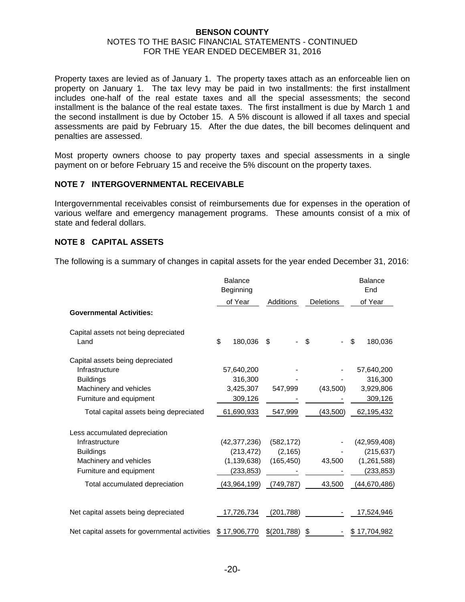Property taxes are levied as of January 1. The property taxes attach as an enforceable lien on property on January 1. The tax levy may be paid in two installments: the first installment includes one-half of the real estate taxes and all the special assessments; the second installment is the balance of the real estate taxes. The first installment is due by March 1 and the second installment is due by October 15. A 5% discount is allowed if all taxes and special assessments are paid by February 15. After the due dates, the bill becomes delinquent and penalties are assessed.

Most property owners choose to pay property taxes and special assessments in a single payment on or before February 15 and receive the 5% discount on the property taxes.

#### **NOTE 7 INTERGOVERNMENTAL RECEIVABLE**

Intergovernmental receivables consist of reimbursements due for expenses in the operation of various welfare and emergency management programs. These amounts consist of a mix of state and federal dollars.

### **NOTE 8 CAPITAL ASSETS**

The following is a summary of changes in capital assets for the year ended December 31, 2016:

|                                                | <b>Balance</b><br>Beginning |             |                  | <b>Balance</b><br>End |
|------------------------------------------------|-----------------------------|-------------|------------------|-----------------------|
|                                                | of Year                     | Additions   | <b>Deletions</b> | of Year               |
| <b>Governmental Activities:</b>                |                             |             |                  |                       |
| Capital assets not being depreciated           |                             |             |                  |                       |
| Land                                           | \$<br>180,036               | \$          | \$               | \$<br>180,036         |
| Capital assets being depreciated               |                             |             |                  |                       |
| Infrastructure                                 | 57,640,200                  |             |                  | 57,640,200            |
| <b>Buildings</b>                               | 316,300                     |             |                  | 316,300               |
| Machinery and vehicles                         | 3,425,307                   | 547,999     | (43,500)         | 3,929,806             |
| Furniture and equipment                        | 309,126                     |             |                  | 309,126               |
| Total capital assets being depreciated         | 61,690,933                  | 547,999     | (43,500)         | 62,195,432            |
| Less accumulated depreciation                  |                             |             |                  |                       |
| Infrastructure                                 | (42, 377, 236)              | (582, 172)  |                  | (42, 959, 408)        |
| <b>Buildings</b>                               | (213, 472)                  | (2, 165)    |                  | (215, 637)            |
| Machinery and vehicles                         | (1, 139, 638)               | (165, 450)  | 43,500           | (1, 261, 588)         |
| Furniture and equipment                        | (233,853)                   |             |                  | (233,853)             |
| Total accumulated depreciation                 | (43,964,199)                | (749, 787)  | 43,500           | (44, 670, 486)        |
| Net capital assets being depreciated           | 17,726,734                  | (201, 788)  |                  | 17,524,946            |
| Net capital assets for governmental activities | \$17,906,770                | \$(201,788) | \$               | \$17,704,982          |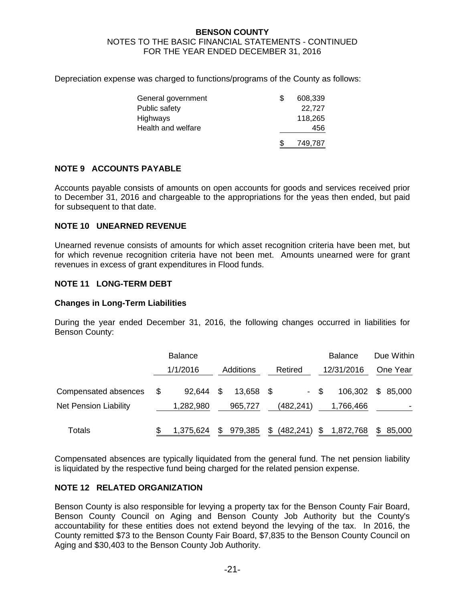Depreciation expense was charged to functions/programs of the County as follows:

| General government | 608,339 |
|--------------------|---------|
| Public safety      | 22.727  |
| Highways           | 118,265 |
| Health and welfare | 456     |
|                    | 749,787 |

### **NOTE 9 ACCOUNTS PAYABLE**

Accounts payable consists of amounts on open accounts for goods and services received prior to December 31, 2016 and chargeable to the appropriations for the yeas then ended, but paid for subsequent to that date.

#### **NOTE 10 UNEARNED REVENUE**

Unearned revenue consists of amounts for which asset recognition criteria have been met, but for which revenue recognition criteria have not been met. Amounts unearned were for grant revenues in excess of grant expenditures in Flood funds.

### **NOTE 11 LONG-TERM DEBT**

#### **Changes in Long-Term Liabilities**

During the year ended December 31, 2016, the following changes occurred in liabilities for Benson County:

|                                                      | <b>Balance</b>            |    |                   |      |            |      | <b>Balance</b>       |     | Due Within |
|------------------------------------------------------|---------------------------|----|-------------------|------|------------|------|----------------------|-----|------------|
|                                                      | 1/1/2016                  |    | Additions         |      | Retired    |      | 12/31/2016           |     | One Year   |
| Compensated absences<br><b>Net Pension Liability</b> | \$<br>92.644<br>1,282,980 | S  | 13,658<br>965,727 | - SS | (482,241)  | - \$ | 106,302<br>1,766,466 |     | \$85,000   |
| Totals                                               | 1,375,624                 | \$ | 979,385           | \$   | (482, 241) | \$   | 1,872,768            | \$. | 85,000     |

Compensated absences are typically liquidated from the general fund. The net pension liability is liquidated by the respective fund being charged for the related pension expense.

#### **NOTE 12 RELATED ORGANIZATION**

Benson County is also responsible for levying a property tax for the Benson County Fair Board, Benson County Council on Aging and Benson County Job Authority but the County's accountability for these entities does not extend beyond the levying of the tax. In 2016, the County remitted \$73 to the Benson County Fair Board, \$7,835 to the Benson County Council on Aging and \$30,403 to the Benson County Job Authority.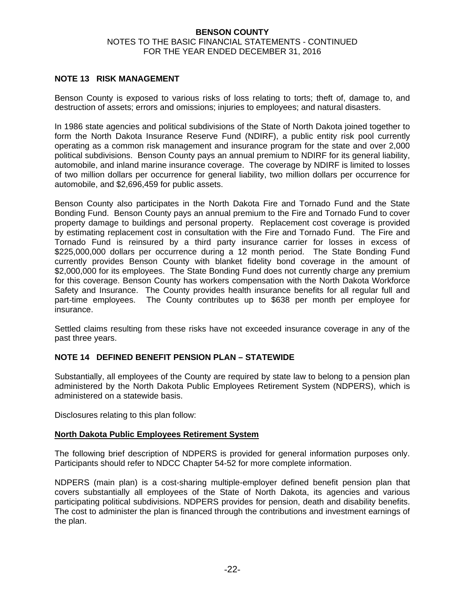## **NOTE 13 RISK MANAGEMENT**

Benson County is exposed to various risks of loss relating to torts; theft of, damage to, and destruction of assets; errors and omissions; injuries to employees; and natural disasters.

In 1986 state agencies and political subdivisions of the State of North Dakota joined together to form the North Dakota Insurance Reserve Fund (NDIRF), a public entity risk pool currently operating as a common risk management and insurance program for the state and over 2,000 political subdivisions. Benson County pays an annual premium to NDIRF for its general liability, automobile, and inland marine insurance coverage. The coverage by NDIRF is limited to losses of two million dollars per occurrence for general liability, two million dollars per occurrence for automobile, and \$2,696,459 for public assets.

Benson County also participates in the North Dakota Fire and Tornado Fund and the State Bonding Fund. Benson County pays an annual premium to the Fire and Tornado Fund to cover property damage to buildings and personal property. Replacement cost coverage is provided by estimating replacement cost in consultation with the Fire and Tornado Fund. The Fire and Tornado Fund is reinsured by a third party insurance carrier for losses in excess of \$225,000,000 dollars per occurrence during a 12 month period. The State Bonding Fund currently provides Benson County with blanket fidelity bond coverage in the amount of \$2,000,000 for its employees. The State Bonding Fund does not currently charge any premium for this coverage. Benson County has workers compensation with the North Dakota Workforce Safety and Insurance. The County provides health insurance benefits for all regular full and part-time employees. The County contributes up to \$638 per month per employee for insurance.

Settled claims resulting from these risks have not exceeded insurance coverage in any of the past three years.

## **NOTE 14 DEFINED BENEFIT PENSION PLAN – STATEWIDE**

Substantially, all employees of the County are required by state law to belong to a pension plan administered by the North Dakota Public Employees Retirement System (NDPERS), which is administered on a statewide basis.

Disclosures relating to this plan follow:

#### **North Dakota Public Employees Retirement System**

The following brief description of NDPERS is provided for general information purposes only. Participants should refer to NDCC Chapter 54-52 for more complete information.

NDPERS (main plan) is a cost-sharing multiple-employer defined benefit pension plan that covers substantially all employees of the State of North Dakota, its agencies and various participating political subdivisions. NDPERS provides for pension, death and disability benefits. The cost to administer the plan is financed through the contributions and investment earnings of the plan.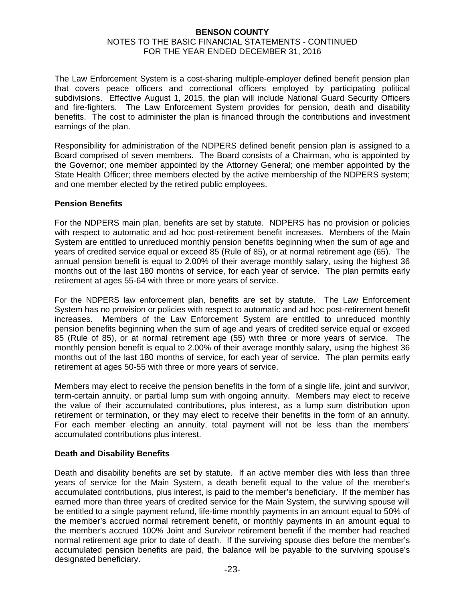### **BENSON COUNTY**

#### NOTES TO THE BASIC FINANCIAL STATEMENTS - CONTINUED FOR THE YEAR ENDED DECEMBER 31, 2016

The Law Enforcement System is a cost-sharing multiple-employer defined benefit pension plan that covers peace officers and correctional officers employed by participating political subdivisions. Effective August 1, 2015, the plan will include National Guard Security Officers and fire-fighters. The Law Enforcement System provides for pension, death and disability benefits. The cost to administer the plan is financed through the contributions and investment earnings of the plan.

Responsibility for administration of the NDPERS defined benefit pension plan is assigned to a Board comprised of seven members. The Board consists of a Chairman, who is appointed by the Governor; one member appointed by the Attorney General; one member appointed by the State Health Officer; three members elected by the active membership of the NDPERS system; and one member elected by the retired public employees.

### **Pension Benefits**

For the NDPERS main plan, benefits are set by statute. NDPERS has no provision or policies with respect to automatic and ad hoc post-retirement benefit increases. Members of the Main System are entitled to unreduced monthly pension benefits beginning when the sum of age and years of credited service equal or exceed 85 (Rule of 85), or at normal retirement age (65). The annual pension benefit is equal to 2.00% of their average monthly salary, using the highest 36 months out of the last 180 months of service, for each year of service. The plan permits early retirement at ages 55-64 with three or more years of service.

For the NDPERS law enforcement plan, benefits are set by statute. The Law Enforcement System has no provision or policies with respect to automatic and ad hoc post-retirement benefit increases. Members of the Law Enforcement System are entitled to unreduced monthly pension benefits beginning when the sum of age and years of credited service equal or exceed 85 (Rule of 85), or at normal retirement age (55) with three or more years of service. The monthly pension benefit is equal to 2.00% of their average monthly salary, using the highest 36 months out of the last 180 months of service, for each year of service. The plan permits early retirement at ages 50-55 with three or more years of service.

Members may elect to receive the pension benefits in the form of a single life, joint and survivor, term-certain annuity, or partial lump sum with ongoing annuity. Members may elect to receive the value of their accumulated contributions, plus interest, as a lump sum distribution upon retirement or termination, or they may elect to receive their benefits in the form of an annuity. For each member electing an annuity, total payment will not be less than the members' accumulated contributions plus interest.

## **Death and Disability Benefits**

Death and disability benefits are set by statute. If an active member dies with less than three years of service for the Main System, a death benefit equal to the value of the member's accumulated contributions, plus interest, is paid to the member's beneficiary. If the member has earned more than three years of credited service for the Main System, the surviving spouse will be entitled to a single payment refund, life-time monthly payments in an amount equal to 50% of the member's accrued normal retirement benefit, or monthly payments in an amount equal to the member's accrued 100% Joint and Survivor retirement benefit if the member had reached normal retirement age prior to date of death. If the surviving spouse dies before the member's accumulated pension benefits are paid, the balance will be payable to the surviving spouse's designated beneficiary.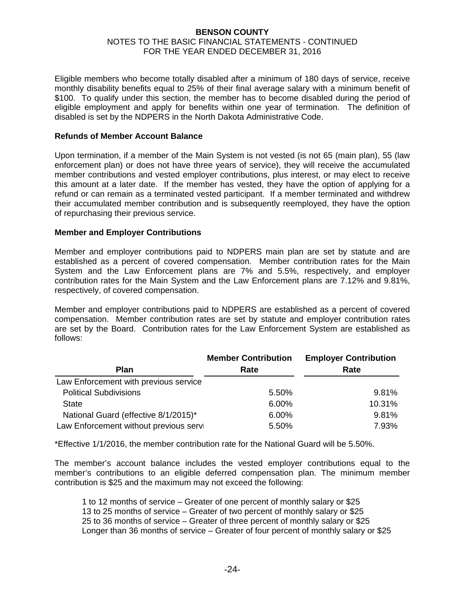Eligible members who become totally disabled after a minimum of 180 days of service, receive monthly disability benefits equal to 25% of their final average salary with a minimum benefit of \$100. To qualify under this section, the member has to become disabled during the period of eligible employment and apply for benefits within one year of termination. The definition of disabled is set by the NDPERS in the North Dakota Administrative Code.

### **Refunds of Member Account Balance**

Upon termination, if a member of the Main System is not vested (is not 65 (main plan), 55 (law enforcement plan) or does not have three years of service), they will receive the accumulated member contributions and vested employer contributions, plus interest, or may elect to receive this amount at a later date. If the member has vested, they have the option of applying for a refund or can remain as a terminated vested participant. If a member terminated and withdrew their accumulated member contribution and is subsequently reemployed, they have the option of repurchasing their previous service.

### **Member and Employer Contributions**

Member and employer contributions paid to NDPERS main plan are set by statute and are established as a percent of covered compensation. Member contribution rates for the Main System and the Law Enforcement plans are 7% and 5.5%, respectively, and employer contribution rates for the Main System and the Law Enforcement plans are 7.12% and 9.81%, respectively, of covered compensation.

Member and employer contributions paid to NDPERS are established as a percent of covered compensation. Member contribution rates are set by statute and employer contribution rates are set by the Board. Contribution rates for the Law Enforcement System are established as follows:

|                                        | <b>Member Contribution</b> | <b>Employer Contribution</b> |
|----------------------------------------|----------------------------|------------------------------|
| <b>Plan</b>                            | Rate                       | Rate                         |
| Law Enforcement with previous service  |                            |                              |
| <b>Political Subdivisions</b>          | 5.50%                      | 9.81%                        |
| <b>State</b>                           | 6.00%                      | 10.31%                       |
| National Guard (effective 8/1/2015)*   | 6.00%                      | 9.81%                        |
| Law Enforcement without previous servi | 5.50%                      | 7.93%                        |

\*Effective 1/1/2016, the member contribution rate for the National Guard will be 5.50%.

The member's account balance includes the vested employer contributions equal to the member's contributions to an eligible deferred compensation plan. The minimum member contribution is \$25 and the maximum may not exceed the following:

 1 to 12 months of service – Greater of one percent of monthly salary or \$25 13 to 25 months of service – Greater of two percent of monthly salary or \$25 25 to 36 months of service – Greater of three percent of monthly salary or \$25 Longer than 36 months of service – Greater of four percent of monthly salary or \$25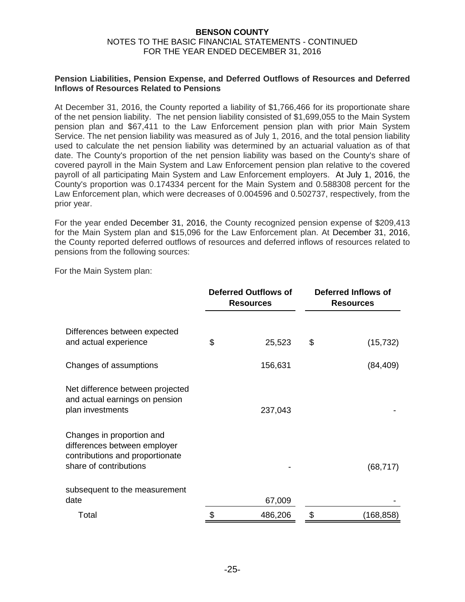#### **Pension Liabilities, Pension Expense, and Deferred Outflows of Resources and Deferred Inflows of Resources Related to Pensions**

At December 31, 2016, the County reported a liability of \$1,766,466 for its proportionate share of the net pension liability. The net pension liability consisted of \$1,699,055 to the Main System pension plan and \$67,411 to the Law Enforcement pension plan with prior Main System Service. The net pension liability was measured as of July 1, 2016, and the total pension liability used to calculate the net pension liability was determined by an actuarial valuation as of that date. The County's proportion of the net pension liability was based on the County's share of covered payroll in the Main System and Law Enforcement pension plan relative to the covered payroll of all participating Main System and Law Enforcement employers. At July 1, 2016, the County's proportion was 0.174334 percent for the Main System and 0.588308 percent for the Law Enforcement plan, which were decreases of 0.004596 and 0.502737, respectively, from the prior year.

For the year ended December 31, 2016, the County recognized pension expense of \$209,413 for the Main System plan and \$15,096 for the Law Enforcement plan. At December 31, 2016, the County reported deferred outflows of resources and deferred inflows of resources related to pensions from the following sources:

For the Main System plan:

|                                                                                                                        | <b>Deferred Outflows of</b><br><b>Resources</b> |    | <b>Deferred Inflows of</b><br><b>Resources</b> |  |  |
|------------------------------------------------------------------------------------------------------------------------|-------------------------------------------------|----|------------------------------------------------|--|--|
| Differences between expected<br>and actual experience                                                                  | \$<br>25,523                                    | \$ | (15, 732)                                      |  |  |
| Changes of assumptions                                                                                                 | 156,631                                         |    | (84, 409)                                      |  |  |
| Net difference between projected<br>and actual earnings on pension<br>plan investments                                 | 237,043                                         |    |                                                |  |  |
| Changes in proportion and<br>differences between employer<br>contributions and proportionate<br>share of contributions |                                                 |    | (68, 717)                                      |  |  |
| subsequent to the measurement<br>date                                                                                  | 67,009                                          |    |                                                |  |  |
| Total                                                                                                                  | 486,206                                         |    | (168,858)                                      |  |  |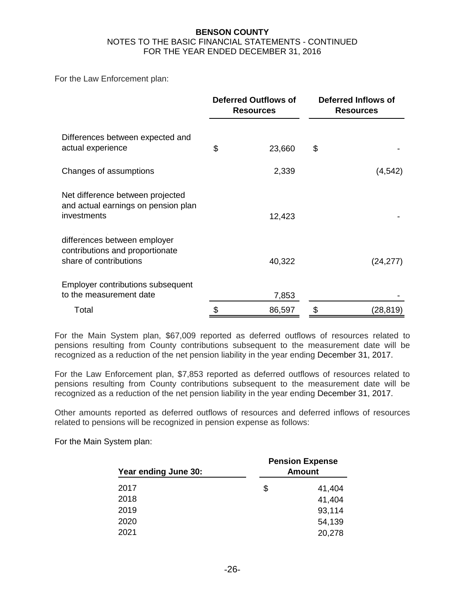For the Law Enforcement plan:

|                                                                                           | <b>Deferred Outflows of</b><br><b>Resources</b> |    | Deferred Inflows of<br><b>Resources</b> |  |  |
|-------------------------------------------------------------------------------------------|-------------------------------------------------|----|-----------------------------------------|--|--|
| Differences between expected and<br>actual experience                                     | \$<br>23,660                                    | \$ |                                         |  |  |
| Changes of assumptions                                                                    | 2,339                                           |    | (4, 542)                                |  |  |
| Net difference between projected<br>and actual earnings on pension plan<br>investments    | 12,423                                          |    |                                         |  |  |
| differences between employer<br>contributions and proportionate<br>share of contributions | 40,322                                          |    | (24, 277)                               |  |  |
| Employer contributions subsequent<br>to the measurement date                              | 7,853                                           |    |                                         |  |  |
| Total                                                                                     | \$<br>86,597                                    | \$ | (28,819)                                |  |  |

For the Main System plan, \$67,009 reported as deferred outflows of resources related to pensions resulting from County contributions subsequent to the measurement date will be recognized as a reduction of the net pension liability in the year ending December 31, 2017.

For the Law Enforcement plan, \$7,853 reported as deferred outflows of resources related to pensions resulting from County contributions subsequent to the measurement date will be recognized as a reduction of the net pension liability in the year ending December 31, 2017.

Other amounts reported as deferred outflows of resources and deferred inflows of resources related to pensions will be recognized in pension expense as follows:

For the Main System plan:

| Year ending June 30: | <b>Pension Expense</b><br><b>Amount</b> |
|----------------------|-----------------------------------------|
| 2017                 | \$<br>41,404                            |
| 2018                 | 41,404                                  |
| 2019                 | 93,114                                  |
| 2020                 | 54,139                                  |
| 2021                 | 20,278                                  |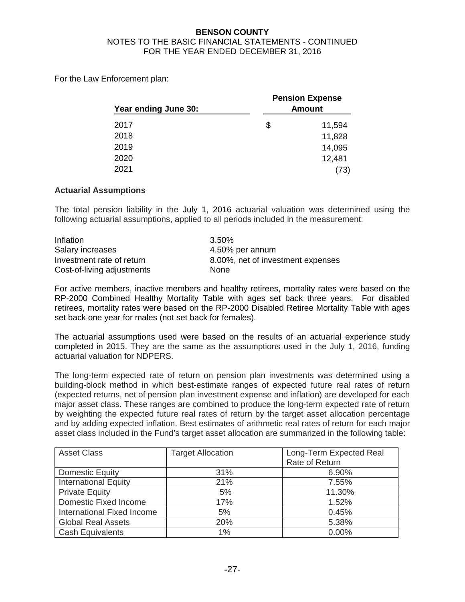For the Law Enforcement plan:

| Year ending June 30: | <b>Pension Expense</b><br><b>Amount</b> |
|----------------------|-----------------------------------------|
| 2017                 | \$<br>11,594                            |
| 2018                 | 11,828                                  |
| 2019                 | 14,095                                  |
| 2020                 | 12,481                                  |
| 2021                 | (73)                                    |

## **Actuarial Assumptions**

The total pension liability in the July 1, 2016 actuarial valuation was determined using the following actuarial assumptions, applied to all periods included in the measurement:

| Inflation                  | 3.50%                             |
|----------------------------|-----------------------------------|
| Salary increases           | 4.50% per annum                   |
| Investment rate of return  | 8.00%, net of investment expenses |
| Cost-of-living adjustments | <b>None</b>                       |

For active members, inactive members and healthy retirees, mortality rates were based on the RP-2000 Combined Healthy Mortality Table with ages set back three years. For disabled retirees, mortality rates were based on the RP-2000 Disabled Retiree Mortality Table with ages set back one year for males (not set back for females).

The actuarial assumptions used were based on the results of an actuarial experience study completed in 2015. They are the same as the assumptions used in the July 1, 2016, funding actuarial valuation for NDPERS.

The long-term expected rate of return on pension plan investments was determined using a building-block method in which best-estimate ranges of expected future real rates of return (expected returns, net of pension plan investment expense and inflation) are developed for each major asset class. These ranges are combined to produce the long-term expected rate of return by weighting the expected future real rates of return by the target asset allocation percentage and by adding expected inflation. Best estimates of arithmetic real rates of return for each major asset class included in the Fund's target asset allocation are summarized in the following table:

| <b>Asset Class</b>          | <b>Target Allocation</b> | Long-Term Expected Real |
|-----------------------------|--------------------------|-------------------------|
|                             |                          | Rate of Return          |
| Domestic Equity             | 31%                      | 6.90%                   |
| <b>International Equity</b> | 21%                      | 7.55%                   |
| <b>Private Equity</b>       | 5%                       | 11.30%                  |
| Domestic Fixed Income       | 17%                      | 1.52%                   |
| International Fixed Income  | 5%                       | 0.45%                   |
| <b>Global Real Assets</b>   | 20%                      | 5.38%                   |
| <b>Cash Equivalents</b>     | 1%                       | 0.00%                   |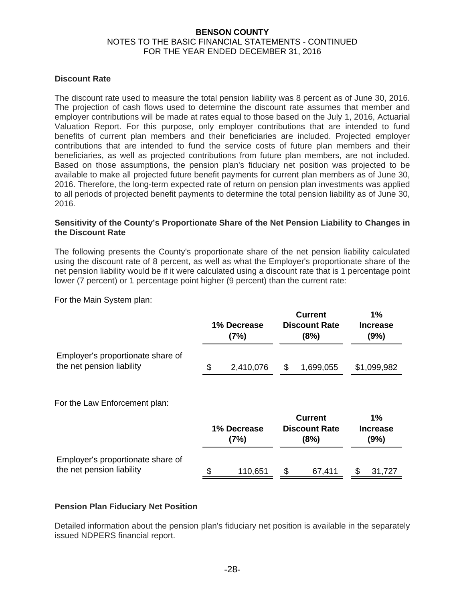#### **Discount Rate**

The discount rate used to measure the total pension liability was 8 percent as of June 30, 2016. The projection of cash flows used to determine the discount rate assumes that member and employer contributions will be made at rates equal to those based on the July 1, 2016, Actuarial Valuation Report. For this purpose, only employer contributions that are intended to fund benefits of current plan members and their beneficiaries are included. Projected employer contributions that are intended to fund the service costs of future plan members and their beneficiaries, as well as projected contributions from future plan members, are not included. Based on those assumptions, the pension plan's fiduciary net position was projected to be available to make all projected future benefit payments for current plan members as of June 30, 2016. Therefore, the long-term expected rate of return on pension plan investments was applied to all periods of projected benefit payments to determine the total pension liability as of June 30, 2016.

#### **Sensitivity of the County's Proportionate Share of the Net Pension Liability to Changes in the Discount Rate**

The following presents the County's proportionate share of the net pension liability calculated using the discount rate of 8 percent, as well as what the Employer's proportionate share of the net pension liability would be if it were calculated using a discount rate that is 1 percentage point lower (7 percent) or 1 percentage point higher (9 percent) than the current rate:

For the Main System plan:

|                                                                | 1% Decrease<br>(7%) |           | <b>Current</b><br><b>Discount Rate</b><br>(8%) | 1%<br><b>Increase</b><br>(9%) |
|----------------------------------------------------------------|---------------------|-----------|------------------------------------------------|-------------------------------|
| Employer's proportionate share of<br>the net pension liability |                     | 2,410,076 | 1,699,055                                      | \$1,099,982                   |

For the Law Enforcement plan:

|                                                                | 1% Decrease<br>(7%) |         | <b>Current</b><br><b>Discount Rate</b><br>(8%) | 1%<br><b>Increase</b><br>(9%) |
|----------------------------------------------------------------|---------------------|---------|------------------------------------------------|-------------------------------|
| Employer's proportionate share of<br>the net pension liability |                     | 110,651 | 67.411                                         | 31.727                        |

#### **Pension Plan Fiduciary Net Position**

Detailed information about the pension plan's fiduciary net position is available in the separately issued NDPERS financial report.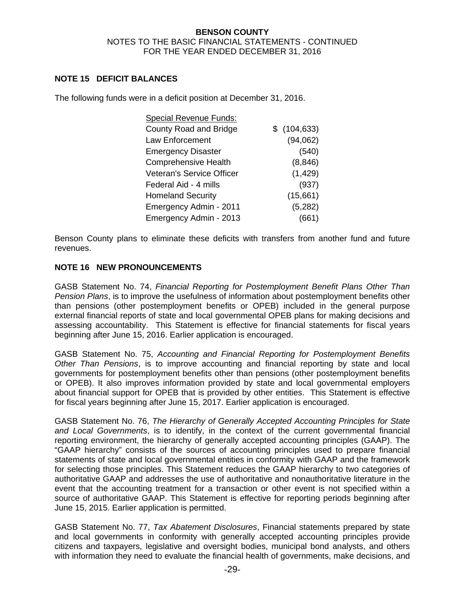### **NOTE 15 DEFICIT BALANCES**

The following funds were in a deficit position at December 31, 2016.

| <b>Special Revenue Funds:</b> |              |
|-------------------------------|--------------|
| <b>County Road and Bridge</b> | \$(104, 633) |
| Law Enforcement               | (94,062)     |
| <b>Emergency Disaster</b>     | (540)        |
| <b>Comprehensive Health</b>   | (8, 846)     |
| Veteran's Service Officer     | (1, 429)     |
| Federal Aid - 4 mills         | (937)        |
| <b>Homeland Security</b>      | (15,661)     |
| Emergency Admin - 2011        | (5,282)      |
| Emergency Admin - 2013        | (661)        |

Benson County plans to eliminate these deficits with transfers from another fund and future revenues.

## **NOTE 16 NEW PRONOUNCEMENTS**

GASB Statement No. 74, *Financial Reporting for Postemployment Benefit Plans Other Than Pension Plans*, is to improve the usefulness of information about postemployment benefits other than pensions (other postemployment benefits or OPEB) included in the general purpose external financial reports of state and local governmental OPEB plans for making decisions and assessing accountability. This Statement is effective for financial statements for fiscal years beginning after June 15, 2016. Earlier application is encouraged.

GASB Statement No. 75, *Accounting and Financial Reporting for Postemployment Benefits Other Than Pensions*, is to improve accounting and financial reporting by state and local governments for postemployment benefits other than pensions (other postemployment benefits or OPEB). It also improves information provided by state and local governmental employers about financial support for OPEB that is provided by other entities. This Statement is effective for fiscal years beginning after June 15, 2017. Earlier application is encouraged.

GASB Statement No. 76, *The Hierarchy of Generally Accepted Accounting Principles for State and Local Governments*, is to identify, in the context of the current governmental financial reporting environment, the hierarchy of generally accepted accounting principles (GAAP). The "GAAP hierarchy" consists of the sources of accounting principles used to prepare financial statements of state and local governmental entities in conformity with GAAP and the framework for selecting those principles. This Statement reduces the GAAP hierarchy to two categories of authoritative GAAP and addresses the use of authoritative and nonauthoritative literature in the event that the accounting treatment for a transaction or other event is not specified within a source of authoritative GAAP. This Statement is effective for reporting periods beginning after June 15, 2015. Earlier application is permitted.

GASB Statement No. 77, *Tax Abatement Disclosures*, Financial statements prepared by state and local governments in conformity with generally accepted accounting principles provide citizens and taxpayers, legislative and oversight bodies, municipal bond analysts, and others with information they need to evaluate the financial health of governments, make decisions, and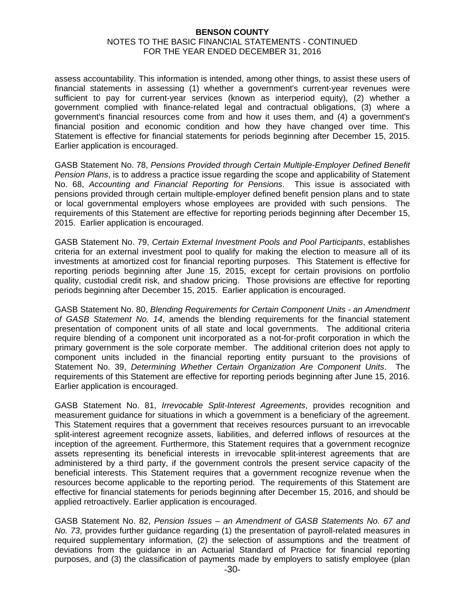#### **BENSON COUNTY**

#### NOTES TO THE BASIC FINANCIAL STATEMENTS - CONTINUED FOR THE YEAR ENDED DECEMBER 31, 2016

assess accountability. This information is intended, among other things, to assist these users of financial statements in assessing (1) whether a government's current-year revenues were sufficient to pay for current-year services (known as interperiod equity), (2) whether a government complied with finance-related legal and contractual obligations, (3) where a government's financial resources come from and how it uses them, and (4) a government's financial position and economic condition and how they have changed over time. This Statement is effective for financial statements for periods beginning after December 15, 2015. Earlier application is encouraged.

GASB Statement No. 78, *Pensions Provided through Certain Multiple-Employer Defined Benefit Pension Plans*, is to address a practice issue regarding the scope and applicability of Statement No. 68, *Accounting and Financial Reporting for Pensions*. This issue is associated with pensions provided through certain multiple-employer defined benefit pension plans and to state or local governmental employers whose employees are provided with such pensions. The requirements of this Statement are effective for reporting periods beginning after December 15, 2015. Earlier application is encouraged.

GASB Statement No. 79, *Certain External Investment Pools and Pool Participants*, establishes criteria for an external investment pool to qualify for making the election to measure all of its investments at amortized cost for financial reporting purposes. This Statement is effective for reporting periods beginning after June 15, 2015, except for certain provisions on portfolio quality, custodial credit risk, and shadow pricing. Those provisions are effective for reporting periods beginning after December 15, 2015. Earlier application is encouraged.

GASB Statement No. 80, *Blending Requirements for Certain Component Units - an Amendment of GASB Statement No. 14*, amends the blending requirements for the financial statement presentation of component units of all state and local governments. The additional criteria require blending of a component unit incorporated as a not-for-profit corporation in which the primary government is the sole corporate member. The additional criterion does not apply to component units included in the financial reporting entity pursuant to the provisions of Statement No. 39, *Determining Whether Certain Organization Are Component Units*. The requirements of this Statement are effective for reporting periods beginning after June 15, 2016. Earlier application is encouraged.

GASB Statement No. 81, *Irrevocable Split-Interest Agreements*, provides recognition and measurement guidance for situations in which a government is a beneficiary of the agreement. This Statement requires that a government that receives resources pursuant to an irrevocable split-interest agreement recognize assets, liabilities, and deferred inflows of resources at the inception of the agreement. Furthermore, this Statement requires that a government recognize assets representing its beneficial interests in irrevocable split-interest agreements that are administered by a third party, if the government controls the present service capacity of the beneficial interests. This Statement requires that a government recognize revenue when the resources become applicable to the reporting period. The requirements of this Statement are effective for financial statements for periods beginning after December 15, 2016, and should be applied retroactively. Earlier application is encouraged.

GASB Statement No. 82, *Pension Issues – an Amendment of GASB Statements No. 67 and No. 73*, provides further guidance regarding (1) the presentation of payroll-related measures in required supplementary information, (2) the selection of assumptions and the treatment of deviations from the guidance in an Actuarial Standard of Practice for financial reporting purposes, and (3) the classification of payments made by employers to satisfy employee (plan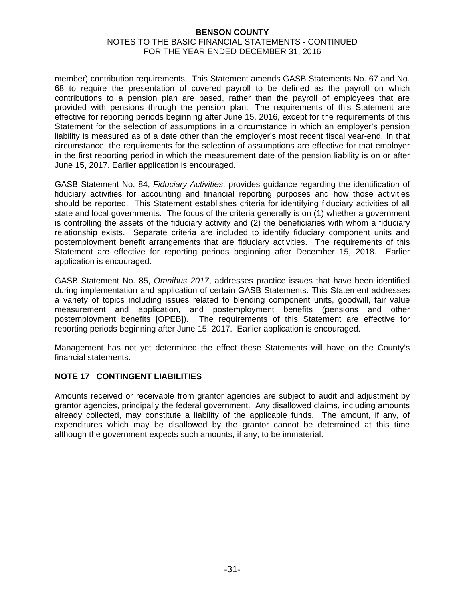member) contribution requirements. This Statement amends GASB Statements No. 67 and No. 68 to require the presentation of covered payroll to be defined as the payroll on which contributions to a pension plan are based, rather than the payroll of employees that are provided with pensions through the pension plan. The requirements of this Statement are effective for reporting periods beginning after June 15, 2016, except for the requirements of this Statement for the selection of assumptions in a circumstance in which an employer's pension liability is measured as of a date other than the employer's most recent fiscal year-end. In that circumstance, the requirements for the selection of assumptions are effective for that employer in the first reporting period in which the measurement date of the pension liability is on or after June 15, 2017. Earlier application is encouraged.

GASB Statement No. 84, *Fiduciary Activities*, provides guidance regarding the identification of fiduciary activities for accounting and financial reporting purposes and how those activities should be reported. This Statement establishes criteria for identifying fiduciary activities of all state and local governments. The focus of the criteria generally is on (1) whether a government is controlling the assets of the fiduciary activity and (2) the beneficiaries with whom a fiduciary relationship exists. Separate criteria are included to identify fiduciary component units and postemployment benefit arrangements that are fiduciary activities. The requirements of this Statement are effective for reporting periods beginning after December 15, 2018. Earlier application is encouraged.

GASB Statement No. 85, *Omnibus 2017*, addresses practice issues that have been identified during implementation and application of certain GASB Statements. This Statement addresses a variety of topics including issues related to blending component units, goodwill, fair value measurement and application, and postemployment benefits (pensions and other postemployment benefits [OPEB]). The requirements of this Statement are effective for reporting periods beginning after June 15, 2017. Earlier application is encouraged.

Management has not yet determined the effect these Statements will have on the County's financial statements.

# **NOTE 17 CONTINGENT LIABILITIES**

Amounts received or receivable from grantor agencies are subject to audit and adjustment by grantor agencies, principally the federal government. Any disallowed claims, including amounts already collected, may constitute a liability of the applicable funds. The amount, if any, of expenditures which may be disallowed by the grantor cannot be determined at this time although the government expects such amounts, if any, to be immaterial.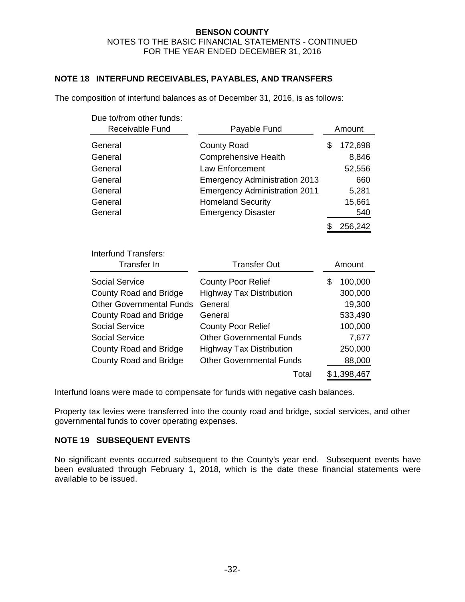## **NOTE 18 INTERFUND RECEIVABLES, PAYABLES, AND TRANSFERS**

| Due to/from other funds:<br>Receivable Fund | Payable Fund                         | Amount        |
|---------------------------------------------|--------------------------------------|---------------|
| General                                     | <b>County Road</b>                   | \$<br>172,698 |
| General                                     | <b>Comprehensive Health</b>          | 8,846         |
| General                                     | <b>Law Enforcement</b>               | 52,556        |
| General                                     | <b>Emergency Administration 2013</b> | 660           |
| General                                     | <b>Emergency Administration 2011</b> | 5,281         |
| General                                     | <b>Homeland Security</b>             | 15,661        |
| General                                     | <b>Emergency Disaster</b>            | 540           |
|                                             |                                      | \$<br>256,242 |
| <b>Interfund Transfers:</b><br>Transfer In  | <b>Transfer Out</b>                  | Amount        |
| <b>Social Service</b>                       | <b>County Poor Relief</b>            | \$<br>100,000 |
| <b>County Road and Bridge</b>               | <b>Highway Tax Distribution</b>      | 300,000       |
| <b>Other Governmental Funds</b>             | General                              | 19,300        |
| <b>County Road and Bridge</b>               | General                              | 533,490       |
| <b>Social Service</b>                       | <b>County Poor Relief</b>            | 100,000       |
| <b>Social Service</b>                       | <b>Other Governmental Funds</b>      | 7,677         |
| <b>County Road and Bridge</b>               | <b>Highway Tax Distribution</b>      | 250,000       |
| County Road and Bridge                      | <b>Other Governmental Funds</b>      | 88,000        |
|                                             |                                      |               |

The composition of interfund balances as of December 31, 2016, is as follows:

Interfund loans were made to compensate for funds with negative cash balances.

Property tax levies were transferred into the county road and bridge, social services, and other governmental funds to cover operating expenses.

## **NOTE 19 SUBSEQUENT EVENTS**

No significant events occurred subsequent to the County's year end. Subsequent events have been evaluated through February 1, 2018, which is the date these financial statements were available to be issued.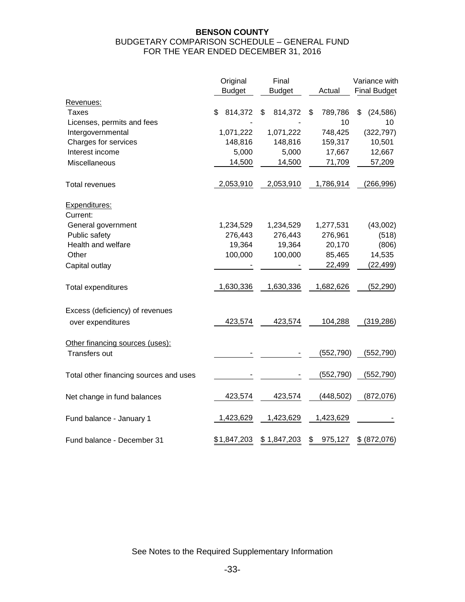### **BENSON COUNTY**  BUDGETARY COMPARISON SCHEDULE – GENERAL FUND FOR THE YEAR ENDED DECEMBER 31, 2016

|                                        | Original      | Final         |               | Variance with       |
|----------------------------------------|---------------|---------------|---------------|---------------------|
|                                        | <b>Budget</b> | <b>Budget</b> | Actual        | <b>Final Budget</b> |
| Revenues:                              |               |               |               |                     |
| Taxes                                  | \$<br>814,372 | 814,372<br>\$ | 789,786<br>\$ | \$<br>(24, 586)     |
| Licenses, permits and fees             |               |               | 10            | 10                  |
| Intergovernmental                      | 1,071,222     | 1,071,222     | 748,425       | (322, 797)          |
| Charges for services                   | 148,816       | 148,816       | 159,317       | 10,501              |
| Interest income                        | 5,000         | 5,000         | 17,667        | 12,667              |
| Miscellaneous                          | 14,500        | 14,500        | 71,709        | 57,209              |
| <b>Total revenues</b>                  | 2,053,910     | 2,053,910     | 1,786,914     | (266, 996)          |
| Expenditures:<br>Current:              |               |               |               |                     |
| General government                     | 1,234,529     | 1,234,529     | 1,277,531     | (43,002)            |
| Public safety                          | 276,443       | 276,443       | 276,961       | (518)               |
| Health and welfare                     | 19,364        | 19,364        | 20,170        | (806)               |
| Other                                  | 100,000       | 100,000       | 85,465        | 14,535              |
| Capital outlay                         |               |               | 22,499        | (22, 499)           |
| Total expenditures                     | 1,630,336     | 1,630,336     | 1,682,626     | (52, 290)           |
| Excess (deficiency) of revenues        |               |               |               |                     |
| over expenditures                      | 423,574       | 423,574       | 104,288       | (319, 286)          |
| Other financing sources (uses):        |               |               |               |                     |
| Transfers out                          |               |               | (552, 790)    | (552, 790)          |
| Total other financing sources and uses |               |               | (552, 790)    | (552, 790)          |
| Net change in fund balances            | 423,574       | 423,574       | (448, 502)    | (872, 076)          |
| Fund balance - January 1               | 1,423,629     | 1,423,629     | 1,423,629     |                     |
| Fund balance - December 31             | \$1,847,203   | \$1,847,203   | 975,127<br>\$ | \$ (872,076)        |

See Notes to the Required Supplementary Information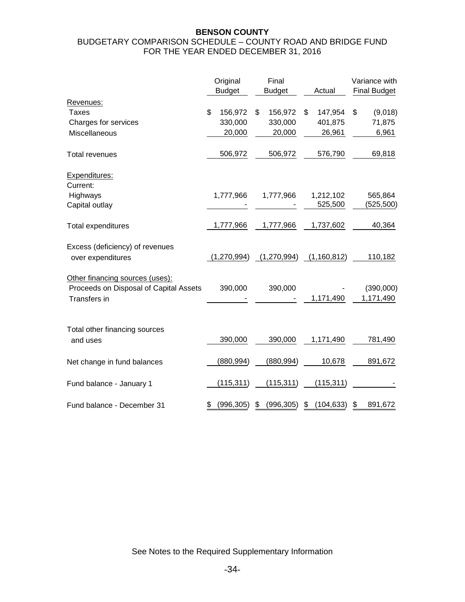#### **BENSON COUNTY**  BUDGETARY COMPARISON SCHEDULE – COUNTY ROAD AND BRIDGE FUND FOR THE YEAR ENDED DECEMBER 31, 2016

|                                        | Original<br><b>Budget</b> | Final<br><b>Budget</b> | Actual           | Variance with<br><b>Final Budget</b> |
|----------------------------------------|---------------------------|------------------------|------------------|--------------------------------------|
| Revenues:                              |                           |                        |                  |                                      |
| Taxes                                  | \$<br>156,972             | \$<br>156,972          | \$<br>147,954    | \$<br>(9,018)                        |
| Charges for services                   | 330,000                   | 330,000                | 401,875          | 71,875                               |
| Miscellaneous                          | 20,000                    | 20,000                 | 26,961           | 6,961                                |
| <b>Total revenues</b>                  | 506,972                   | 506,972                | 576,790          | 69,818                               |
| Expenditures:                          |                           |                        |                  |                                      |
| Current:                               |                           |                        |                  |                                      |
| Highways                               | 1,777,966                 | 1,777,966              | 1,212,102        | 565,864                              |
| Capital outlay                         |                           |                        | 525,500          | (525,500)                            |
| Total expenditures                     | 1,777,966                 | 1,777,966              | 1,737,602        | 40,364                               |
| Excess (deficiency) of revenues        |                           |                        |                  |                                      |
| over expenditures                      | (1,270,994)               | (1,270,994)            | (1,160,812)      | 110,182                              |
| Other financing sources (uses):        |                           |                        |                  |                                      |
| Proceeds on Disposal of Capital Assets | 390,000                   | 390,000                |                  | (390,000)                            |
| Transfers in                           |                           |                        | 1,171,490        | 1,171,490                            |
|                                        |                           |                        |                  |                                      |
| Total other financing sources          |                           |                        |                  |                                      |
| and uses                               | 390,000                   | 390,000                | 1,171,490        | 781,490                              |
| Net change in fund balances            | (880, 994)                | (880, 994)             | 10,678           | 891,672                              |
| Fund balance - January 1               | (115, 311)                | (115, 311)             | (115, 311)       |                                      |
| Fund balance - December 31             | \$<br>(996, 305)          | \$<br>(996, 305)       | \$<br>(104, 633) | \$<br>891,672                        |

See Notes to the Required Supplementary Information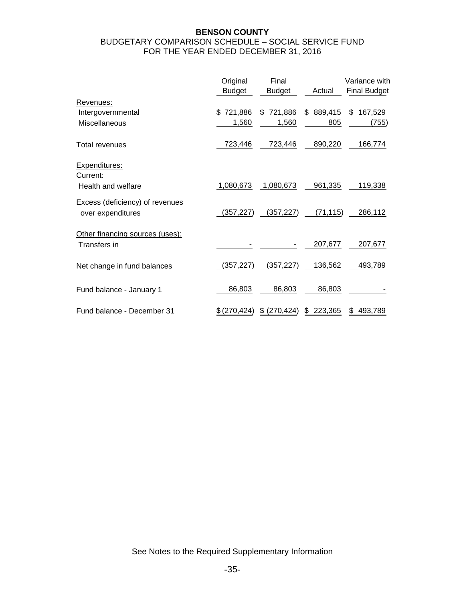## **BENSON COUNTY**  BUDGETARY COMPARISON SCHEDULE – SOCIAL SERVICE FUND FOR THE YEAR ENDED DECEMBER 31, 2016

|                                                      | Original<br><b>Budget</b> | Final<br><b>Budget</b> | Actual    | Variance with<br><b>Final Budget</b> |
|------------------------------------------------------|---------------------------|------------------------|-----------|--------------------------------------|
| Revenues:                                            |                           |                        |           |                                      |
| Intergovernmental                                    | 721,886<br>\$.            | 721,886<br>\$          | \$889,415 | \$<br>167,529                        |
| Miscellaneous                                        | 1,560                     | 1,560                  | 805       | (755)                                |
| <b>Total revenues</b>                                | 723,446                   | 723,446                | 890,220   | 166,774                              |
| Expenditures:<br>Current:                            |                           |                        |           |                                      |
| Health and welfare                                   | 1,080,673                 | 1,080,673              | 961,335   | 119,338                              |
| Excess (deficiency) of revenues<br>over expenditures | (357, 227)                | (357,227)              | (71, 115) | 286,112                              |
| Other financing sources (uses):                      |                           |                        |           |                                      |
| Transfers in                                         |                           |                        | 207,677   | 207,677                              |
| Net change in fund balances                          | (357, 227)                | (357,227)              | 136,562   | 493,789                              |
| Fund balance - January 1                             | 86,803                    | 86,803                 | 86,803    |                                      |
| Fund balance - December 31                           | (270, 424)                | (270, 424)<br>\$       | 223,365   | 493,789                              |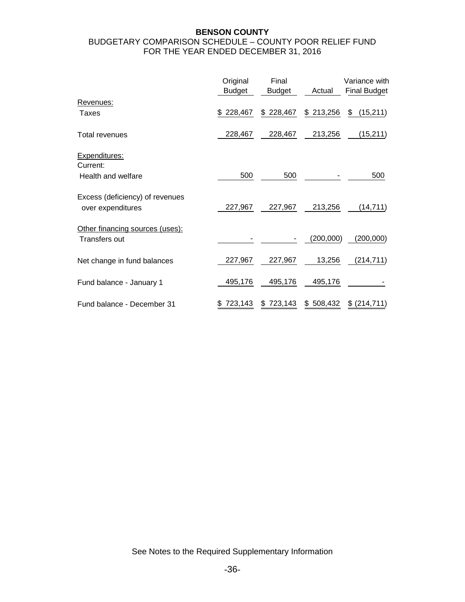### **BENSON COUNTY**  BUDGETARY COMPARISON SCHEDULE – COUNTY POOR RELIEF FUND FOR THE YEAR ENDED DECEMBER 31, 2016

|                                                      | Original<br><b>Budget</b> | Final<br><b>Budget</b> | Actual        | Variance with<br><b>Final Budget</b> |
|------------------------------------------------------|---------------------------|------------------------|---------------|--------------------------------------|
| Revenues:                                            |                           |                        |               |                                      |
| Taxes                                                | \$228,467                 | \$228,467              | \$213,256     | (15,211)<br>\$                       |
| <b>Total revenues</b>                                | 228,467                   | 228,467                | 213,256       | (15, 211)                            |
| Expenditures:<br>Current:                            |                           |                        |               |                                      |
| Health and welfare                                   | 500                       | 500                    |               | 500                                  |
| Excess (deficiency) of revenues<br>over expenditures | 227,967                   | 227,967                | 213,256       | (14, 711)                            |
| Other financing sources (uses):<br>Transfers out     |                           |                        | (200,000)     | (200,000)                            |
| Net change in fund balances                          | 227,967                   | 227,967                | 13,256        | (214, 711)                           |
| Fund balance - January 1                             | 495,176                   | 495,176                | 495,176       |                                      |
| Fund balance - December 31                           | 723,143                   | 723,143<br>S           | 508,432<br>\$ | \$ (214, 711)                        |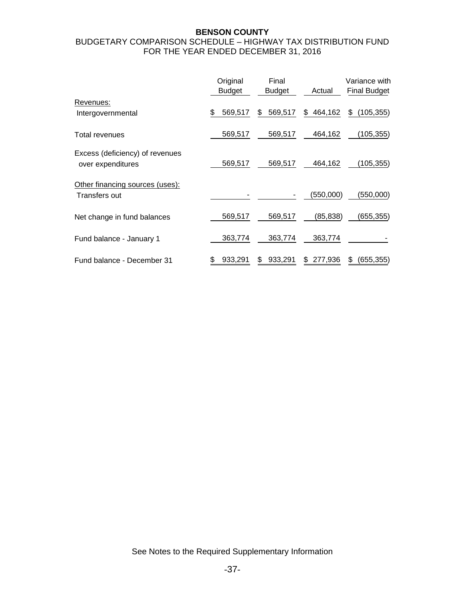### **BENSON COUNTY**

## BUDGETARY COMPARISON SCHEDULE – HIGHWAY TAX DISTRIBUTION FUND FOR THE YEAR ENDED DECEMBER 31, 2016

|                                                      | Original<br>Budget | Final<br><b>Budget</b> | Actual        | Variance with<br><b>Final Budget</b> |
|------------------------------------------------------|--------------------|------------------------|---------------|--------------------------------------|
| Revenues:<br>Intergovernmental                       | \$<br>569,517      | 569,517<br>\$          | 464,162<br>\$ | (105, 355)<br>\$                     |
| Total revenues                                       | 569,517            | 569,517                | 464,162       | (105,355)                            |
| Excess (deficiency) of revenues<br>over expenditures | 569,517            | 569,517                | 464,162       | (105,355)                            |
| Other financing sources (uses):<br>Transfers out     |                    |                        | (550,000)     | (550,000)                            |
| Net change in fund balances                          | 569,517            | 569,517                | (85,838)      | (655, 355)                           |
| Fund balance - January 1                             | 363,774            | 363,774                | 363,774       |                                      |
| Fund balance - December 31                           | 933,291<br>\$      | 933,291<br>\$          | 277,936<br>\$ | (655, 355)<br>\$                     |

See Notes to the Required Supplementary Information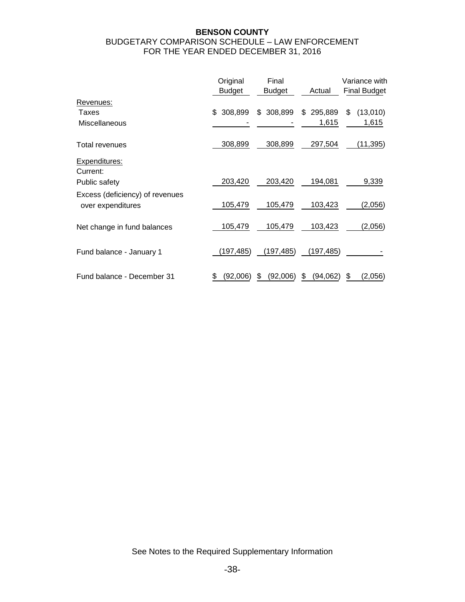### **BENSON COUNTY**  BUDGETARY COMPARISON SCHEDULE – LAW ENFORCEMENT FOR THE YEAR ENDED DECEMBER 31, 2016

|                                                      | Original<br>Budget | Final<br><b>Budget</b> | Actual        | Variance with<br><b>Final Budget</b> |
|------------------------------------------------------|--------------------|------------------------|---------------|--------------------------------------|
| Revenues:                                            |                    |                        |               |                                      |
| Taxes                                                | 308,899<br>\$      | \$308,899              | 295,889<br>\$ | \$<br>(13,010)                       |
| Miscellaneous                                        |                    |                        | 1,615         | 1,615                                |
| Total revenues                                       | 308,899            | 308,899                | 297,504       | (11, 395)                            |
| <b>Expenditures:</b><br>Current:                     |                    |                        |               |                                      |
| Public safety                                        | 203,420            | 203,420                | 194,081       | 9,339                                |
| Excess (deficiency) of revenues<br>over expenditures | 105,479            | 105,479                | 103,423       | (2,056)                              |
| Net change in fund balances                          | 105,479            | 105,479                | 103,423       | (2,056)                              |
| Fund balance - January 1                             | (197,485)          | (197, 485)             | (197, 485)    |                                      |
| Fund balance - December 31                           | (92,006)           | (92,006)<br>S          | (94,062)      | (2,056)<br>S                         |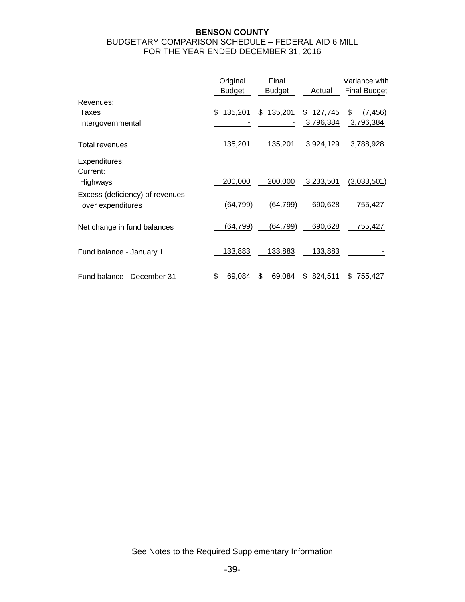### **BENSON COUNTY**  BUDGETARY COMPARISON SCHEDULE – FEDERAL AID 6 MILL FOR THE YEAR ENDED DECEMBER 31, 2016

|                                  | Original      | Final         |              | Variance with       |
|----------------------------------|---------------|---------------|--------------|---------------------|
|                                  | <b>Budget</b> | <b>Budget</b> | Actual       | <b>Final Budget</b> |
| Revenues:                        |               |               |              |                     |
| Taxes                            | \$<br>135,201 | \$135,201     | \$127,745    | \$<br>(7, 456)      |
| Intergovernmental                |               |               | 3,796,384    | 3,796,384           |
| Total revenues                   | 135,201       | 135,201       | 3,924,129    | 3,788,928           |
| <b>Expenditures:</b><br>Current: |               |               |              |                     |
| Highways                         | 200,000       | 200,000       | 3,233,501    | (3,033,501)         |
| Excess (deficiency) of revenues  |               |               |              |                     |
| over expenditures                | (64,799)      | (64,799)      | 690,628      | 755,427             |
| Net change in fund balances      | (64, 799)     | (64, 799)     | 690,628      | 755,427             |
| Fund balance - January 1         | 133,883       | 133,883       | 133,883      |                     |
| Fund balance - December 31       | 69,084        | 69,084<br>\$  | 824,511<br>S | 755,427<br>S        |

See Notes to the Required Supplementary Information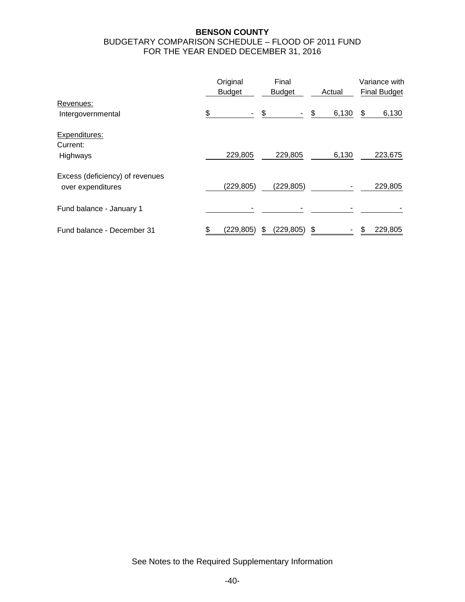### **BENSON COUNTY**  BUDGETARY COMPARISON SCHEDULE – FLOOD OF 2011 FUND FOR THE YEAR ENDED DECEMBER 31, 2016

|                                                      | Original<br><b>Budget</b> | Final<br><b>Budget</b> | Actual      | Variance with<br><b>Final Budget</b> |
|------------------------------------------------------|---------------------------|------------------------|-------------|--------------------------------------|
| Revenues:<br>Intergovernmental                       | \$                        | - \$<br>$\sim$         | \$<br>6,130 | \$<br>6,130                          |
| Expenditures:                                        |                           |                        |             |                                      |
| Current:<br>Highways                                 | 229,805                   | 229,805                | 6,130       | 223,675                              |
| Excess (deficiency) of revenues<br>over expenditures | (229, 805)                | (229, 805)             |             | 229,805                              |
| Fund balance - January 1                             |                           |                        |             |                                      |
| Fund balance - December 31                           | (229, 805)                | (229, 805)<br>S        | \$          | 229,805                              |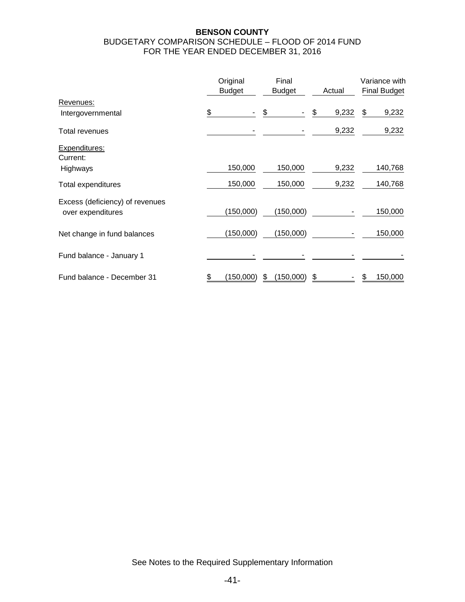### **BENSON COUNTY**  BUDGETARY COMPARISON SCHEDULE – FLOOD OF 2014 FUND FOR THE YEAR ENDED DECEMBER 31, 2016

|                                                      | Original<br><b>Budget</b> | Final<br><b>Budget</b> | Actual      | Variance with<br><b>Final Budget</b> |
|------------------------------------------------------|---------------------------|------------------------|-------------|--------------------------------------|
| Revenues:                                            |                           |                        |             |                                      |
| Intergovernmental                                    | \$                        | \$                     | \$<br>9,232 | \$<br>9,232                          |
| Total revenues                                       |                           |                        | 9,232       | 9,232                                |
| Expenditures:<br>Current:                            |                           |                        |             |                                      |
| Highways                                             | 150,000                   | 150,000                | 9,232       | 140,768                              |
| Total expenditures                                   | 150,000                   | 150,000                | 9,232       | 140,768                              |
| Excess (deficiency) of revenues<br>over expenditures | (150,000)                 | (150,000)              |             | 150,000                              |
| Net change in fund balances                          | (150,000)                 | (150,000)              |             | 150,000                              |
| Fund balance - January 1                             |                           |                        |             |                                      |
| Fund balance - December 31                           | \$<br>(150,000)           | \$<br>(150,000)        | \$          | 150,000                              |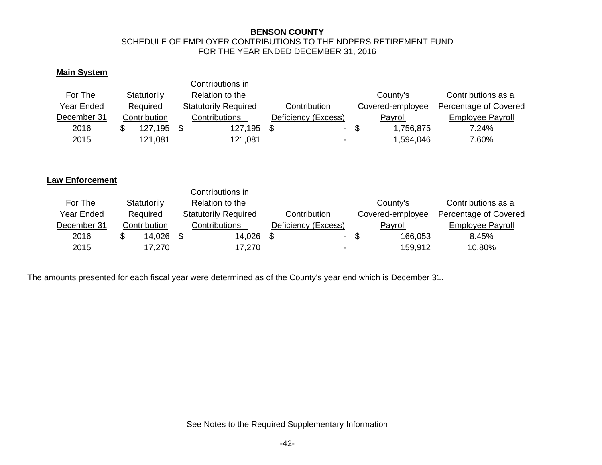#### **BENSON COUNTY**  SCHEDULE OF EMPLOYER CONTRIBUTIONS TO THE NDPERS RETIREMENT FUND FOR THE YEAR ENDED DECEMBER 31, 2016

## **Main System**

|             |              | Contributions in            |                     |        |                  |                         |
|-------------|--------------|-----------------------------|---------------------|--------|------------------|-------------------------|
| For The     | Statutorily  | Relation to the             |                     |        | County's         | Contributions as a      |
| Year Ended  | Required     | <b>Statutorily Required</b> | Contribution        |        | Covered-employee | Percentage of Covered   |
| December 31 | Contribution | Contributions               | Deficiency (Excess) |        | Payroll          | <b>Employee Payroll</b> |
| 2016        | 127,195 \$   | 127,195                     |                     | $\sim$ | -SS<br>1,756,875 | 7.24%                   |
| 2015        | 121,081      | 121,081                     |                     |        | 1,594,046        | 7.60%                   |

#### **Law Enforcement**

|             |              | Contributions in            |                     |                  |                         |
|-------------|--------------|-----------------------------|---------------------|------------------|-------------------------|
| For The     | Statutorily  | Relation to the             |                     | County's         | Contributions as a      |
| Year Ended  | Required     | <b>Statutorily Required</b> | Contribution        | Covered-employee | Percentage of Covered   |
| December 31 | Contribution | Contributions               | Deficiency (Excess) | Payroll          | <b>Employee Payroll</b> |
| 2016        | 14,026       | 14,026                      | $\sim$              | -S<br>166,053    | 8.45%                   |
| 2015        | 17,270       | 17,270                      | -                   | 159,912          | 10.80%                  |

The amounts presented for each fiscal year were determined as of the County's year end which is December 31.

See Notes to the Required Supplementary Information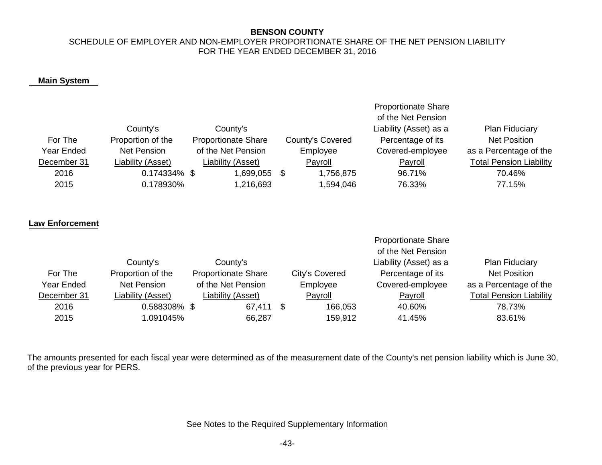#### **BENSON COUNTY**

### SCHEDULE OF EMPLOYER AND NON-EMPLOYER PROPORTIONATE SHARE OF THE NET PENSION LIABILITY FOR THE YEAR ENDED DECEMBER 31, 2016

### **Main System**

| For The<br><b>Year Ended</b> | County's<br>Proportion of the<br><b>Net Pension</b> | County's<br><b>Proportionate Share</b><br>of the Net Pension | County's Covered<br>Employee | <b>Proportionate Share</b><br>of the Net Pension<br>Liability (Asset) as a<br>Percentage of its<br>Covered-employee | <b>Plan Fiduciary</b><br><b>Net Position</b><br>as a Percentage of the |
|------------------------------|-----------------------------------------------------|--------------------------------------------------------------|------------------------------|---------------------------------------------------------------------------------------------------------------------|------------------------------------------------------------------------|
| December 31                  | iability (Asset)                                    | iability (Asset)                                             | Payroll                      | Payroll                                                                                                             | <b>Total Pension Liability</b>                                         |
| 2016                         | 0.174334%                                           | 1,699,055<br>\$                                              | \$<br>1,756,875              | 96.71%                                                                                                              | 70.46%                                                                 |
| 2015                         | 0.178930%                                           | 1,216,693                                                    | 1,594,046                    | 76.33%                                                                                                              | 77.15%                                                                 |
| <b>Law Enforcement</b>       |                                                     |                                                              |                              | <b>Proportionate Share</b><br>of the Net Pension                                                                    |                                                                        |
|                              | County's                                            | County's                                                     |                              | Liability (Asset) as a                                                                                              | Plan Fiduciary                                                         |
| For The                      | Proportion of the                                   | <b>Proportionate Share</b>                                   | City's Covered               | Percentage of its                                                                                                   | <b>Net Position</b>                                                    |
| Year Ended                   | <b>Net Pension</b>                                  | of the Net Pension                                           | Employee                     | Covered-employee                                                                                                    | as a Percentage of the                                                 |
| December 31                  | Liability (Asset)                                   | Liability (Asset)                                            | Payroll                      | Payroll                                                                                                             | <b>Total Pension Liability</b>                                         |
| 2016                         | 0.588308% \$                                        | 67,411                                                       | \$<br>166,053                | 40.60%                                                                                                              | 78.73%                                                                 |
| 2015                         | 1.091045%                                           | 66,287                                                       | 159,912                      | 41.45%                                                                                                              | 83.61%                                                                 |
|                              |                                                     |                                                              |                              |                                                                                                                     |                                                                        |

The amounts presented for each fiscal year were determined as of the measurement date of the County's net pension liability which is June 30, of the previous year for PERS.

See Notes to the Required Supplementary Information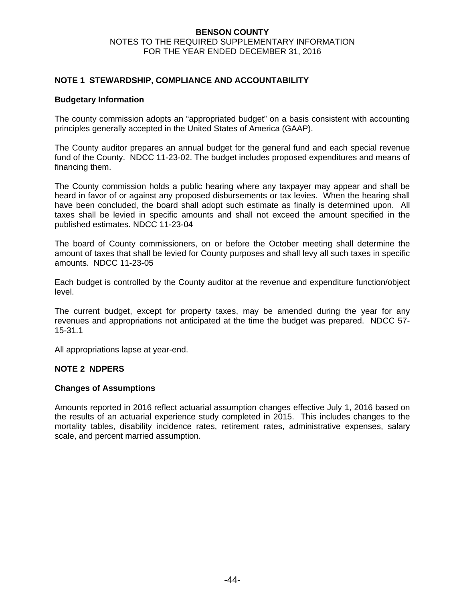#### **BENSON COUNTY**  NOTES TO THE REQUIRED SUPPLEMENTARY INFORMATION FOR THE YEAR ENDED DECEMBER 31, 2016

### **NOTE 1 STEWARDSHIP, COMPLIANCE AND ACCOUNTABILITY**

#### **Budgetary Information**

The county commission adopts an "appropriated budget" on a basis consistent with accounting principles generally accepted in the United States of America (GAAP).

The County auditor prepares an annual budget for the general fund and each special revenue fund of the County. NDCC 11-23-02. The budget includes proposed expenditures and means of financing them.

The County commission holds a public hearing where any taxpayer may appear and shall be heard in favor of or against any proposed disbursements or tax levies. When the hearing shall have been concluded, the board shall adopt such estimate as finally is determined upon. All taxes shall be levied in specific amounts and shall not exceed the amount specified in the published estimates. NDCC 11-23-04

The board of County commissioners, on or before the October meeting shall determine the amount of taxes that shall be levied for County purposes and shall levy all such taxes in specific amounts. NDCC 11-23-05

Each budget is controlled by the County auditor at the revenue and expenditure function/object level.

The current budget, except for property taxes, may be amended during the year for any revenues and appropriations not anticipated at the time the budget was prepared. NDCC 57- 15-31.1

All appropriations lapse at year-end.

#### **NOTE 2 NDPERS**

#### **Changes of Assumptions**

Amounts reported in 2016 reflect actuarial assumption changes effective July 1, 2016 based on the results of an actuarial experience study completed in 2015. This includes changes to the mortality tables, disability incidence rates, retirement rates, administrative expenses, salary scale, and percent married assumption.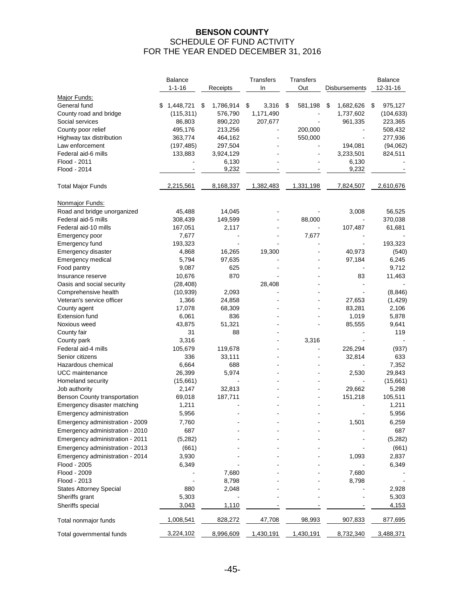## **BENSON COUNTY**  SCHEDULE OF FUND ACTIVITY FOR THE YEAR ENDED DECEMBER 31, 2016

|                                 |   | Balance      |                 | Transfers   | Transfers     |                 | Balance       |
|---------------------------------|---|--------------|-----------------|-------------|---------------|-----------------|---------------|
|                                 |   | $1 - 1 - 16$ | Receipts        | In          | Out           | Disbursements   | 12-31-16      |
| Major Funds:                    |   |              |                 |             |               |                 |               |
| General fund                    | S | 1,448,721    | \$<br>1,786,914 | 3,316<br>\$ | 581,198<br>\$ | \$<br>1,682,626 | \$<br>975,127 |
| County road and bridge          |   | (115, 311)   | 576,790         | 1,171,490   |               | 1,737,602       | (104, 633)    |
| Social services                 |   | 86,803       | 890,220         | 207,677     |               | 961,335         | 223,365       |
| County poor relief              |   | 495,176      | 213,256         |             | 200,000       |                 | 508,432       |
| Highway tax distribution        |   | 363,774      | 464,162         |             | 550,000       |                 | 277,936       |
| Law enforcement                 |   | (197, 485)   | 297,504         |             |               | 194,081         | (94,062)      |
| Federal aid-6 mills             |   | 133,883      | 3,924,129       |             |               | 3,233,501       | 824,511       |
| Flood - 2011                    |   |              | 6,130           |             |               | 6,130           |               |
| Flood - 2014                    |   |              | 9,232           |             |               | 9,232           |               |
| <b>Total Major Funds</b>        |   | 2,215,561    | 8,168,337       | 1,382,483   | 1,331,198     | 7,824,507       | 2,610,676     |
| Nonmajor Funds:                 |   |              |                 |             |               |                 |               |
| Road and bridge unorganized     |   | 45,488       | 14,045          |             |               | 3,008           | 56,525        |
| Federal aid-5 mills             |   | 308,439      | 149,599         |             | 88,000        |                 | 370,038       |
| Federal aid-10 mills            |   | 167,051      | 2,117           |             |               | 107,487         | 61,681        |
| Emergency poor                  |   | 7,677        |                 |             | 7,677         |                 |               |
| Emergency fund                  |   | 193,323      |                 |             |               |                 | 193,323       |
| Emergency disaster              |   | 4,868        | 16,265          | 19,300      |               | 40,973          | (540)         |
| Emergency medical               |   | 5,794        | 97,635          |             |               | 97,184          | 6,245         |
| Food pantry                     |   | 9,087        | 625             |             |               |                 | 9,712         |
| Insurance reserve               |   | 10,676       | 870             |             |               | 83              | 11,463        |
| Oasis and social security       |   | (28, 408)    |                 | 28,408      |               |                 |               |
| Comprehensive health            |   | (10, 939)    | 2,093           |             |               |                 | (8, 846)      |
| Veteran's service officer       |   | 1,366        | 24,858          |             |               | 27,653          | (1, 429)      |
| County agent                    |   | 17,078       | 68,309          |             |               | 83,281          | 2,106         |
| <b>Extension fund</b>           |   | 6,061        | 836             |             |               | 1,019           | 5,878         |
| Noxious weed                    |   | 43,875       | 51,321          |             |               | 85,555          | 9,641         |
| County fair                     |   | 31           | 88              |             |               |                 | 119           |
| County park                     |   | 3,316        |                 |             | 3,316         |                 |               |
| Federal aid-4 mills             |   | 105,679      | 119,678         |             |               | 226,294         | (937)         |
| Senior citizens                 |   | 336          | 33,111          |             |               | 32,814          | 633           |
| Hazardous chemical              |   | 6,664        | 688             |             |               |                 | 7,352         |
| UCC maintenance                 |   | 26,399       | 5,974           |             |               | 2,530           | 29,843        |
| Homeland security               |   | (15,661)     |                 |             |               |                 | (15,661)      |
| Job authority                   |   | 2,147        | 32,813          |             |               | 29,662          | 5,298         |
| Benson County transportation    |   | 69,018       | 187,711         |             |               | 151,218         | 105,511       |
| Emergency disaster matching     |   | 1,211        |                 |             |               |                 | 1,211         |
| Emergency administration        |   | 5,956        |                 |             |               |                 | 5,956         |
| Emergency administration - 2009 |   | 7,760        |                 |             |               | 1,501           | 6,259         |
| Emergency administration - 2010 |   | 687          |                 |             |               |                 | 687           |
| Emergency administration - 2011 |   | (5,282)      |                 |             |               |                 | (5,282)       |
| Emergency administration - 2013 |   | (661)        |                 |             |               |                 | (661)         |
| Emergency administration - 2014 |   | 3,930        |                 |             |               | 1,093           | 2,837         |
| Flood - 2005                    |   | 6,349        |                 |             |               |                 | 6,349         |
| Flood - 2009                    |   |              | 7,680           |             |               | 7,680           |               |
| Flood - 2013                    |   |              | 8,798           |             |               | 8,798           |               |
| <b>States Attorney Special</b>  |   | 880          | 2,048           |             |               |                 | 2,928         |
| Sheriffs grant                  |   | 5,303        |                 |             |               |                 | 5,303         |
| Sheriffs special                |   | 3,043        | 1,110           |             |               |                 | 4,153         |
| Total nonmajor funds            |   | 1,008,541    | 828,272         | 47,708      | 98,993        | 907,833         | 877,695       |
| Total governmental funds        |   | 3,224,102    | 8,996,609       | 1,430,191   | 1,430,191     | 8,732,340       | 3,488,371     |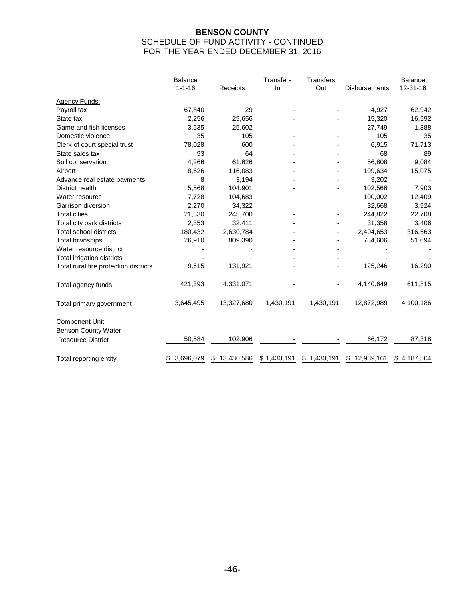## **BENSON COUNTY**  SCHEDULE OF FUND ACTIVITY - CONTINUED FOR THE YEAR ENDED DECEMBER 31, 2016

|                                       | <b>Balance</b>  |                 | <b>Transfers</b> | <b>Transfers</b> |                      | <b>Balance</b> |  |
|---------------------------------------|-----------------|-----------------|------------------|------------------|----------------------|----------------|--|
|                                       | $1 - 1 - 16$    | Receipts        | In               | Out              | <b>Disbursements</b> | 12-31-16       |  |
| Agency Funds:                         |                 |                 |                  |                  |                      |                |  |
| Payroll tax                           | 67,840          | 29              |                  |                  | 4,927                | 62,942         |  |
| State tax                             | 2,256           | 29,656          |                  |                  | 15,320               | 16,592         |  |
| Game and fish licenses                | 3,535           | 25,602          |                  |                  | 27,749               | 1,388          |  |
| Domestic violence                     | 35              | 105             |                  |                  | 105                  | 35             |  |
| Clerk of court special trust          | 78,028          | 600             |                  |                  | 6,915                | 71,713         |  |
| State sales tax                       | 93              | 64              |                  |                  | 68                   | 89             |  |
| Soil conservation                     | 4,266           | 61,626          |                  |                  | 56,808               | 9,084          |  |
| Airport                               | 8,626           | 116,083         |                  |                  | 109,634              | 15,075         |  |
| Advance real estate payments          | 8               | 3,194           |                  |                  | 3,202                |                |  |
| District health                       | 5,568           | 104,901         |                  |                  | 102,566              | 7,903          |  |
| Water resource                        | 7,728           | 104,683         |                  |                  | 100,002              | 12,409         |  |
| Garrison diversion                    | 2,270           | 34,322          |                  |                  | 32,668               | 3,924          |  |
| <b>Total cities</b>                   | 21,830          | 245,700         |                  |                  | 244,822              | 22,708         |  |
| Total city park districts             | 2,353           | 32,411          |                  |                  | 31,358               | 3,406          |  |
| <b>Total school districts</b>         | 180,432         | 2,630,784       |                  |                  | 2,494,653            | 316,563        |  |
| <b>Total townships</b>                | 26,910          | 809,390         |                  |                  | 784,606              | 51,694         |  |
| Water resource district               |                 |                 |                  |                  |                      |                |  |
| Total irrigation districts            |                 |                 |                  |                  |                      |                |  |
| Total rural fire protection districts | 9,615           | 131,921         |                  |                  | 125,246              | 16,290         |  |
| Total agency funds                    | 421,393         | 4,331,071       |                  |                  | 4,140,649            | 611,815        |  |
| Total primary government              | 3,645,495       | 13,327,680      | 1,430,191        | 1,430,191        | 12,872,989           | 4,100,186      |  |
| Component Unit:                       |                 |                 |                  |                  |                      |                |  |
| <b>Benson County Water</b>            |                 |                 |                  |                  |                      |                |  |
| <b>Resource District</b>              | 50,584          | 102,906         |                  |                  | 66,172               | 87,318         |  |
| Total reporting entity                | 3,696,079<br>\$ | 13,430,586<br>S | \$1,430,191      | \$1,430,191      | 12,939,161<br>\$     | \$4,187,504    |  |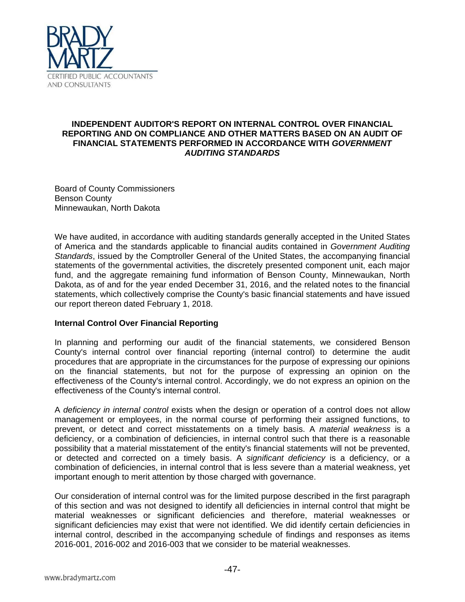

### **INDEPENDENT AUDITOR'S REPORT ON INTERNAL CONTROL OVER FINANCIAL REPORTING AND ON COMPLIANCE AND OTHER MATTERS BASED ON AN AUDIT OF FINANCIAL STATEMENTS PERFORMED IN ACCORDANCE WITH** *GOVERNMENT AUDITING STANDARDS*

Board of County Commissioners Benson County Minnewaukan, North Dakota

We have audited, in accordance with auditing standards generally accepted in the United States of America and the standards applicable to financial audits contained in *Government Auditing Standards*, issued by the Comptroller General of the United States, the accompanying financial statements of the governmental activities, the discretely presented component unit, each major fund, and the aggregate remaining fund information of Benson County, Minnewaukan, North Dakota, as of and for the year ended December 31, 2016, and the related notes to the financial statements, which collectively comprise the County's basic financial statements and have issued our report thereon dated February 1, 2018.

## **Internal Control Over Financial Reporting**

In planning and performing our audit of the financial statements, we considered Benson County's internal control over financial reporting (internal control) to determine the audit procedures that are appropriate in the circumstances for the purpose of expressing our opinions on the financial statements, but not for the purpose of expressing an opinion on the effectiveness of the County's internal control. Accordingly, we do not express an opinion on the effectiveness of the County's internal control.

A *deficiency in internal control* exists when the design or operation of a control does not allow management or employees, in the normal course of performing their assigned functions, to prevent, or detect and correct misstatements on a timely basis. A *material weakness* is a deficiency, or a combination of deficiencies, in internal control such that there is a reasonable possibility that a material misstatement of the entity's financial statements will not be prevented, or detected and corrected on a timely basis. A *significant deficiency* is a deficiency, or a combination of deficiencies, in internal control that is less severe than a material weakness, yet important enough to merit attention by those charged with governance.

Our consideration of internal control was for the limited purpose described in the first paragraph of this section and was not designed to identify all deficiencies in internal control that might be material weaknesses or significant deficiencies and therefore, material weaknesses or significant deficiencies may exist that were not identified. We did identify certain deficiencies in internal control, described in the accompanying schedule of findings and responses as items 2016-001, 2016-002 and 2016-003 that we consider to be material weaknesses.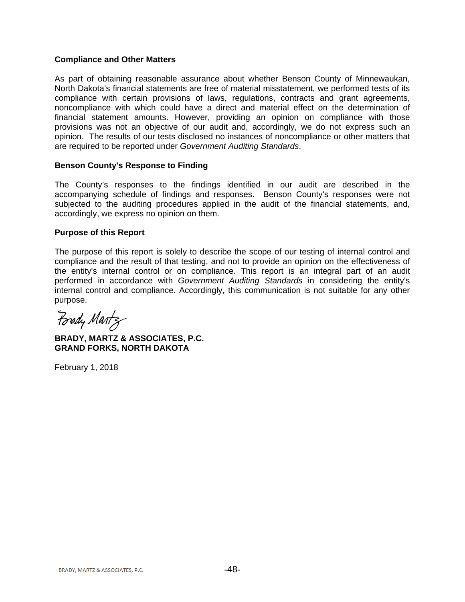#### **Compliance and Other Matters**

As part of obtaining reasonable assurance about whether Benson County of Minnewaukan, North Dakota's financial statements are free of material misstatement, we performed tests of its compliance with certain provisions of laws, regulations, contracts and grant agreements, noncompliance with which could have a direct and material effect on the determination of financial statement amounts. However, providing an opinion on compliance with those provisions was not an objective of our audit and, accordingly, we do not express such an opinion. The results of our tests disclosed no instances of noncompliance or other matters that are required to be reported under *Government Auditing Standards*.

### **Benson County's Response to Finding**

The County's responses to the findings identified in our audit are described in the accompanying schedule of findings and responses. Benson County's responses were not subjected to the auditing procedures applied in the audit of the financial statements, and, accordingly, we express no opinion on them.

#### **Purpose of this Report**

The purpose of this report is solely to describe the scope of our testing of internal control and compliance and the result of that testing, and not to provide an opinion on the effectiveness of the entity's internal control or on compliance. This report is an integral part of an audit performed in accordance with *Government Auditing Standards* in considering the entity's internal control and compliance. Accordingly, this communication is not suitable for any other purpose.

Porady Martz

**BRADY, MARTZ & ASSOCIATES, P.C. GRAND FORKS, NORTH DAKOTA** 

February 1, 2018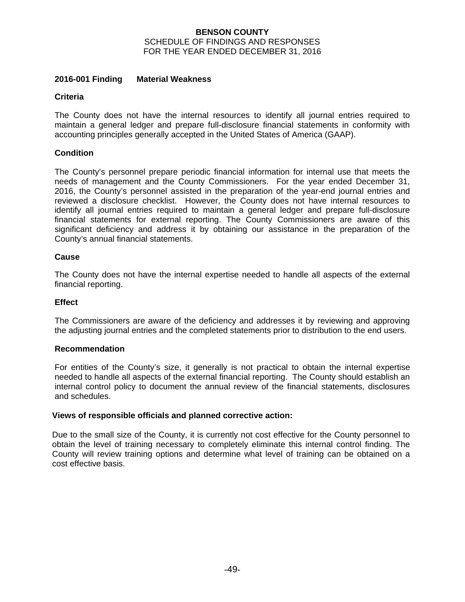#### **BENSON COUNTY**  SCHEDULE OF FINDINGS AND RESPONSES FOR THE YEAR ENDED DECEMBER 31, 2016

#### **2016-001 Finding Material Weakness**

#### **Criteria**

The County does not have the internal resources to identify all journal entries required to maintain a general ledger and prepare full-disclosure financial statements in conformity with accounting principles generally accepted in the United States of America (GAAP).

### **Condition**

The County's personnel prepare periodic financial information for internal use that meets the needs of management and the County Commissioners. For the year ended December 31, 2016, the County's personnel assisted in the preparation of the year-end journal entries and reviewed a disclosure checklist. However, the County does not have internal resources to identify all journal entries required to maintain a general ledger and prepare full-disclosure financial statements for external reporting. The County Commissioners are aware of this significant deficiency and address it by obtaining our assistance in the preparation of the County's annual financial statements.

### **Cause**

The County does not have the internal expertise needed to handle all aspects of the external financial reporting.

#### **Effect**

The Commissioners are aware of the deficiency and addresses it by reviewing and approving the adjusting journal entries and the completed statements prior to distribution to the end users.

#### **Recommendation**

For entities of the County's size, it generally is not practical to obtain the internal expertise needed to handle all aspects of the external financial reporting. The County should establish an internal control policy to document the annual review of the financial statements, disclosures and schedules.

#### **Views of responsible officials and planned corrective action:**

Due to the small size of the County, it is currently not cost effective for the County personnel to obtain the level of training necessary to completely eliminate this internal control finding. The County will review training options and determine what level of training can be obtained on a cost effective basis.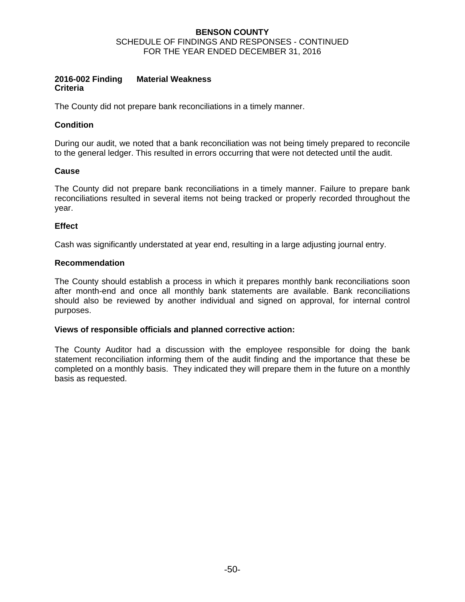#### **BENSON COUNTY**  SCHEDULE OF FINDINGS AND RESPONSES - CONTINUED FOR THE YEAR ENDED DECEMBER 31, 2016

#### **2016-002 Finding Material Weakness Criteria**

The County did not prepare bank reconciliations in a timely manner.

## **Condition**

During our audit, we noted that a bank reconciliation was not being timely prepared to reconcile to the general ledger. This resulted in errors occurring that were not detected until the audit.

## **Cause**

The County did not prepare bank reconciliations in a timely manner. Failure to prepare bank reconciliations resulted in several items not being tracked or properly recorded throughout the year.

### **Effect**

Cash was significantly understated at year end, resulting in a large adjusting journal entry.

### **Recommendation**

The County should establish a process in which it prepares monthly bank reconciliations soon after month-end and once all monthly bank statements are available. Bank reconciliations should also be reviewed by another individual and signed on approval, for internal control purposes.

#### **Views of responsible officials and planned corrective action:**

The County Auditor had a discussion with the employee responsible for doing the bank statement reconciliation informing them of the audit finding and the importance that these be completed on a monthly basis. They indicated they will prepare them in the future on a monthly basis as requested.